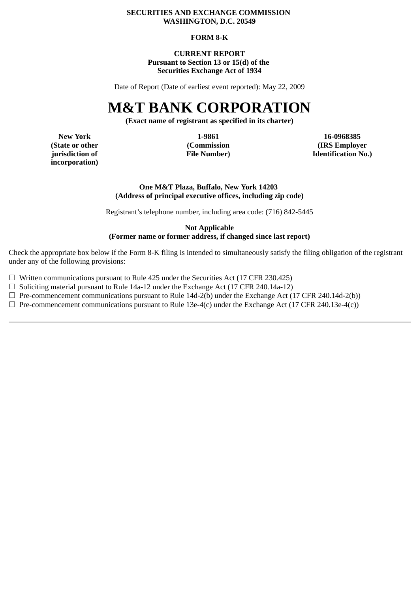#### **SECURITIES AND EXCHANGE COMMISSION WASHINGTON, D.C. 20549**

#### **FORM 8-K**

#### **CURRENT REPORT Pursuant to Section 13 or 15(d) of the Securities Exchange Act of 1934**

Date of Report (Date of earliest event reported): May 22, 2009

# **M&T BANK CORPORATION**

**(Exact name of registrant as specified in its charter)**

**incorporation)**

**New York 1-9861 16-0968385 (State or other (Commission (IRS Employer jurisdiction of File Number) Identification No.)**

#### **One M&T Plaza, Buffalo, New York 14203 (Address of principal executive offices, including zip code)**

Registrant's telephone number, including area code: (716) 842-5445

#### **Not Applicable (Former name or former address, if changed since last report)**

Check the appropriate box below if the Form 8-K filing is intended to simultaneously satisfy the filing obligation of the registrant under any of the following provisions:

 $\Box$  Written communications pursuant to Rule 425 under the Securities Act (17 CFR 230.425)

☐ Soliciting material pursuant to Rule 14a-12 under the Exchange Act (17 CFR 240.14a-12)

☐ Pre-commencement communications pursuant to Rule 14d-2(b) under the Exchange Act (17 CFR 240.14d-2(b))

 $\Box$  Pre-commencement communications pursuant to Rule 13e-4(c) under the Exchange Act (17 CFR 240.13e-4(c))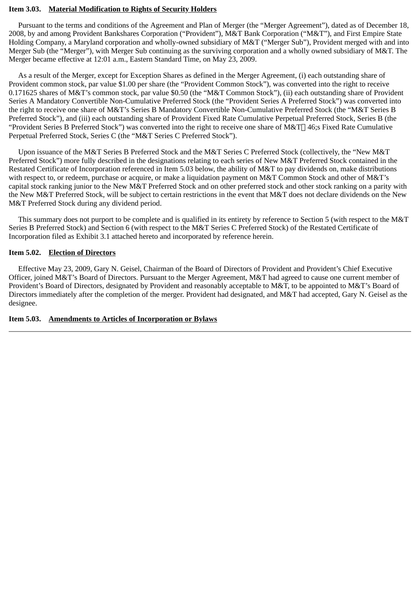#### **Item 3.03. Material Modification to Rights of Security Holders**

 Pursuant to the terms and conditions of the Agreement and Plan of Merger (the "Merger Agreement"), dated as of December 18, 2008, by and among Provident Bankshares Corporation ("Provident"), M&T Bank Corporation ("M&T"), and First Empire State Holding Company, a Maryland corporation and wholly-owned subsidiary of M&T ("Merger Sub"), Provident merged with and into Merger Sub (the "Merger"), with Merger Sub continuing as the surviving corporation and a wholly owned subsidiary of M&T. The Merger became effective at 12:01 a.m., Eastern Standard Time, on May 23, 2009.

 As a result of the Merger, except for Exception Shares as defined in the Merger Agreement, (i) each outstanding share of Provident common stock, par value \$1.00 per share (the "Provident Common Stock"), was converted into the right to receive 0.171625 shares of M&T's common stock, par value \$0.50 (the "M&T Common Stock"), (ii) each outstanding share of Provident Series A Mandatory Convertible Non-Cumulative Preferred Stock (the "Provident Series A Preferred Stock") was converted into the right to receive one share of M&T's Series B Mandatory Convertible Non-Cumulative Preferred Stock (the "M&T Series B Preferred Stock"), and (iii) each outstanding share of Provident Fixed Rate Cumulative Perpetual Preferred Stock, Series B (the "Provident Series B Preferred Stock") was converted into the right to receive one share of M&T $\Box$  46;s Fixed Rate Cumulative Perpetual Preferred Stock, Series C (the "M&T Series C Preferred Stock").

 Upon issuance of the M&T Series B Preferred Stock and the M&T Series C Preferred Stock (collectively, the "New M&T Preferred Stock") more fully described in the designations relating to each series of New M&T Preferred Stock contained in the Restated Certificate of Incorporation referenced in Item 5.03 below, the ability of M&T to pay dividends on, make distributions with respect to, or redeem, purchase or acquire, or make a liquidation payment on M&T Common Stock and other of M&T's capital stock ranking junior to the New M&T Preferred Stock and on other preferred stock and other stock ranking on a parity with the New M&T Preferred Stock, will be subject to certain restrictions in the event that M&T does not declare dividends on the New M&T Preferred Stock during any dividend period.

 This summary does not purport to be complete and is qualified in its entirety by reference to Section 5 (with respect to the M&T Series B Preferred Stock) and Section 6 (with respect to the M&T Series C Preferred Stock) of the Restated Certificate of Incorporation filed as Exhibit 3.1 attached hereto and incorporated by reference herein.

#### **Item 5.02. Election of Directors**

 Effective May 23, 2009, Gary N. Geisel, Chairman of the Board of Directors of Provident and Provident's Chief Executive Officer, joined M&T's Board of Directors. Pursuant to the Merger Agreement, M&T had agreed to cause one current member of Provident's Board of Directors, designated by Provident and reasonably acceptable to M&T, to be appointed to M&T's Board of Directors immediately after the completion of the merger. Provident had designated, and M&T had accepted, Gary N. Geisel as the designee.

#### **Item 5.03. Amendments to Articles of Incorporation or Bylaws**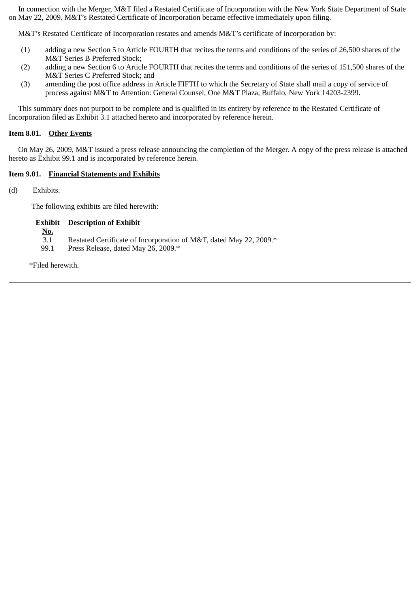In connection with the Merger, M&T filed a Restated Certificate of Incorporation with the New York State Department of State on May 22, 2009. M&T's Restated Certificate of Incorporation became effective immediately upon filing.

M&T's Restated Certificate of Incorporation restates and amends M&T's certificate of incorporation by:

- (1) adding a new Section 5 to Article FOURTH that recites the terms and conditions of the series of 26,500 shares of the M&T Series B Preferred Stock;
- (2) adding a new Section 6 to Article FOURTH that recites the terms and conditions of the series of 151,500 shares of the M&T Series C Preferred Stock; and
- (3) amending the post office address in Article FIFTH to which the Secretary of State shall mail a copy of service of process against M&T to Attention: General Counsel, One M&T Plaza, Buffalo, New York 14203-2399.

 This summary does not purport to be complete and is qualified in its entirety by reference to the Restated Certificate of Incorporation filed as Exhibit 3.1 attached hereto and incorporated by reference herein.

#### **Item 8.01. Other Events**

 On May 26, 2009, M&T issued a press release announcing the completion of the Merger. A copy of the press release is attached hereto as Exhibit 99.1 and is incorporated by reference herein.

#### **Item 9.01. Financial Statements and Exhibits**

(d) Exhibits.

The following exhibits are filed herewith:

#### **Exhibit Description of Exhibit**

- 3.1 Restated Certificate of Incorporation of M&T, dated May 22, 2009.\*
- 99.1 Press Release, dated May 26, 2009.\*

\*Filed herewith.

**No.**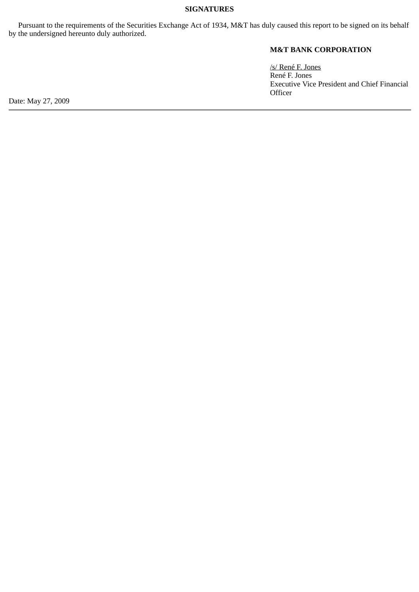#### **SIGNATURES**

 Pursuant to the requirements of the Securities Exchange Act of 1934, M&T has duly caused this report to be signed on its behalf by the undersigned hereunto duly authorized.

# **M&T BANK CORPORATION**

/s/ René F. Jones René F. Jones Executive Vice President and Chief Financial **Officer** 

Date: May 27, 2009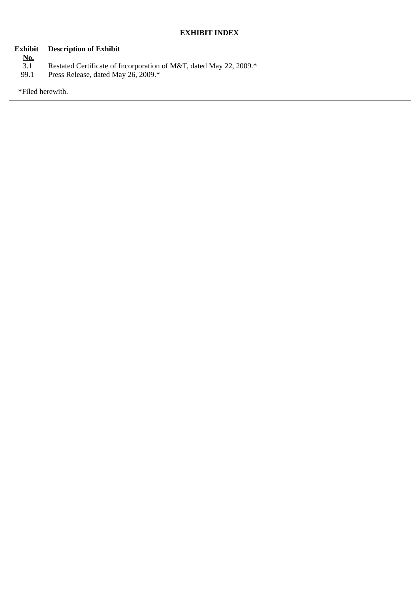# **Exhibit Description of Exhibit**

- 
- **No.** 3.1 Restated Certificate of Incorporation of M&T, dated May 22, 2009.\*
- 99.1 Press Release, dated May 26, 2009.\*

\*Filed herewith.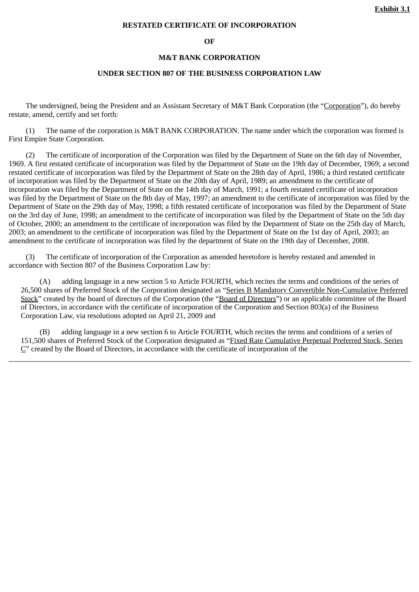#### **RESTATED CERTIFICATE OF INCORPORATION**

**OF**

#### **M&T BANK CORPORATION**

#### **UNDER SECTION 807 OF THE BUSINESS CORPORATION LAW**

 The undersigned, being the President and an Assistant Secretary of M&T Bank Corporation (the "Corporation"), do hereby restate, amend, certify and set forth:

 (1) The name of the corporation is M&T BANK CORPORATION. The name under which the corporation was formed is First Empire State Corporation.

The certificate of incorporation of the Corporation was filed by the Department of State on the 6th day of November, 1969. A first restated certificate of incorporation was filed by the Department of State on the 19th day of December, 1969; a second restated certificate of incorporation was filed by the Department of State on the 28th day of April, 1986; a third restated certificate of incorporation was filed by the Department of State on the 20th day of April, 1989; an amendment to the certificate of incorporation was filed by the Department of State on the 14th day of March, 1991; a fourth restated certificate of incorporation was filed by the Department of State on the 8th day of May, 1997; an amendment to the certificate of incorporation was filed by the Department of State on the 29th day of May, 1998; a fifth restated certificate of incorporation was filed by the Department of State on the 3rd day of June, 1998; an amendment to the certificate of incorporation was filed by the Department of State on the 5th day of October, 2000; an amendment to the certificate of incorporation was filed by the Department of State on the 25th day of March, 2003; an amendment to the certificate of incorporation was filed by the Department of State on the 1st day of April, 2003; an amendment to the certificate of incorporation was filed by the department of State on the 19th day of December, 2008.

 (3) The certificate of incorporation of the Corporation as amended heretofore is hereby restated and amended in accordance with Section 807 of the Business Corporation Law by:

 (A) adding language in a new section 5 to Article FOURTH, which recites the terms and conditions of the series of 26,500 shares of Preferred Stock of the Corporation designated as "Series B Mandatory Convertible Non-Cumulative Preferred Stock" created by the board of directors of the Corporation (the "Board of Directors") or an applicable committee of the Board of Directors, in accordance with the certificate of incorporation of the Corporation and Section 803(a) of the Business Corporation Law, via resolutions adopted on April 21, 2009 and

 (B) adding language in a new section 6 to Article FOURTH, which recites the terms and conditions of a series of 151,500 shares of Preferred Stock of the Corporation designated as "Fixed Rate Cumulative Perpetual Preferred Stock, Series  $C<sup>n</sup>$  created by the Board of Directors, in accordance with the certificate of incorporation of the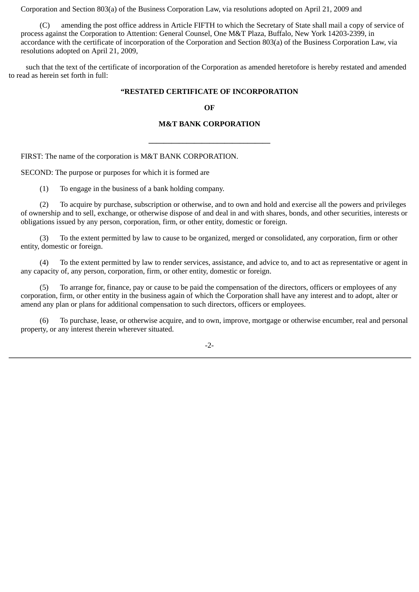Corporation and Section 803(a) of the Business Corporation Law, via resolutions adopted on April 21, 2009 and

 (C) amending the post office address in Article FIFTH to which the Secretary of State shall mail a copy of service of process against the Corporation to Attention: General Counsel, One M&T Plaza, Buffalo, New York 14203-2399, in accordance with the certificate of incorporation of the Corporation and Section 803(a) of the Business Corporation Law, via resolutions adopted on April 21, 2009,

 such that the text of the certificate of incorporation of the Corporation as amended heretofore is hereby restated and amended to read as herein set forth in full:

#### **"RESTATED CERTIFICATE OF INCORPORATION**

#### **OF**

#### **M&T BANK CORPORATION**

**\_\_\_\_\_\_\_\_\_\_\_\_\_\_\_\_\_\_\_\_\_\_\_\_\_\_\_\_\_\_\_\_**

FIRST: The name of the corporation is M&T BANK CORPORATION.

SECOND: The purpose or purposes for which it is formed are

(1) To engage in the business of a bank holding company.

 (2) To acquire by purchase, subscription or otherwise, and to own and hold and exercise all the powers and privileges of ownership and to sell, exchange, or otherwise dispose of and deal in and with shares, bonds, and other securities, interests or obligations issued by any person, corporation, firm, or other entity, domestic or foreign.

 (3) To the extent permitted by law to cause to be organized, merged or consolidated, any corporation, firm or other entity, domestic or foreign.

 (4) To the extent permitted by law to render services, assistance, and advice to, and to act as representative or agent in any capacity of, any person, corporation, firm, or other entity, domestic or foreign.

 (5) To arrange for, finance, pay or cause to be paid the compensation of the directors, officers or employees of any corporation, firm, or other entity in the business again of which the Corporation shall have any interest and to adopt, alter or amend any plan or plans for additional compensation to such directors, officers or employees.

 (6) To purchase, lease, or otherwise acquire, and to own, improve, mortgage or otherwise encumber, real and personal property, or any interest therein wherever situated.

-2-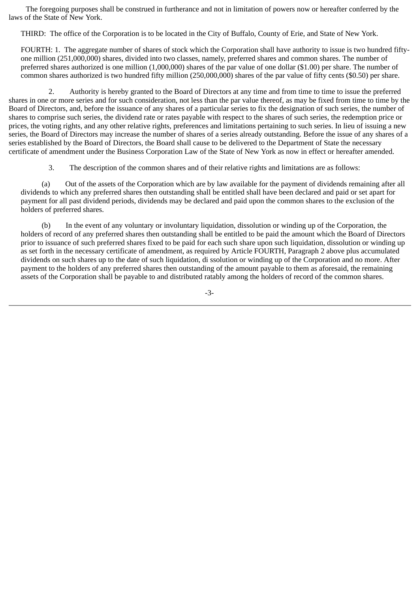The foregoing purposes shall be construed in furtherance and not in limitation of powers now or hereafter conferred by the laws of the State of New York.

THIRD: The office of the Corporation is to be located in the City of Buffalo, County of Erie, and State of New York.

FOURTH: 1. The aggregate number of shares of stock which the Corporation shall have authority to issue is two hundred fiftyone million (251,000,000) shares, divided into two classes, namely, preferred shares and common shares. The number of preferred shares authorized is one million (1,000,000) shares of the par value of one dollar (\$1.00) per share. The number of common shares authorized is two hundred fifty million (250,000,000) shares of the par value of fifty cents (\$0.50) per share.

 2. Authority is hereby granted to the Board of Directors at any time and from time to time to issue the preferred shares in one or more series and for such consideration, not less than the par value thereof, as may be fixed from time to time by the Board of Directors, and, before the issuance of any shares of a particular series to fix the designation of such series, the number of shares to comprise such series, the dividend rate or rates payable with respect to the shares of such series, the redemption price or prices, the voting rights, and any other relative rights, preferences and limitations pertaining to such series. In lieu of issuing a new series, the Board of Directors may increase the number of shares of a series already outstanding. Before the issue of any shares of a series established by the Board of Directors, the Board shall cause to be delivered to the Department of State the necessary certificate of amendment under the Business Corporation Law of the State of New York as now in effect or hereafter amended.

3. The description of the common shares and of their relative rights and limitations are as follows:

 (a) Out of the assets of the Corporation which are by law available for the payment of dividends remaining after all dividends to which any preferred shares then outstanding shall be entitled shall have been declared and paid or set apart for payment for all past dividend periods, dividends may be declared and paid upon the common shares to the exclusion of the holders of preferred shares.

 (b) In the event of any voluntary or involuntary liquidation, dissolution or winding up of the Corporation, the holders of record of any preferred shares then outstanding shall be entitled to be paid the amount which the Board of Directors prior to issuance of such preferred shares fixed to be paid for each such share upon such liquidation, dissolution or winding up as set forth in the necessary certificate of amendment, as required by Article FOURTH, Paragraph 2 above plus accumulated dividends on such shares up to the date of such liquidation, di ssolution or winding up of the Corporation and no more. After payment to the holders of any preferred shares then outstanding of the amount payable to them as aforesaid, the remaining assets of the Corporation shall be payable to and distributed ratably among the holders of record of the common shares.

-3-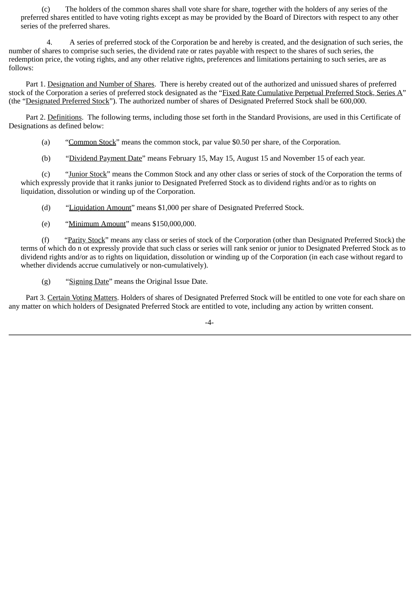(c) The holders of the common shares shall vote share for share, together with the holders of any series of the preferred shares entitled to have voting rights except as may be provided by the Board of Directors with respect to any other series of the preferred shares.

 4. A series of preferred stock of the Corporation be and hereby is created, and the designation of such series, the number of shares to comprise such series, the dividend rate or rates payable with respect to the shares of such series, the redemption price, the voting rights, and any other relative rights, preferences and limitations pertaining to such series, are as follows:

 Part 1. Designation and Number of Shares. There is hereby created out of the authorized and unissued shares of preferred stock of the Corporation a series of preferred stock designated as the "Fixed Rate Cumulative Perpetual Preferred Stock, Series A" (the "Designated Preferred Stock"). The authorized number of shares of Designated Preferred Stock shall be 600,000.

 Part 2. Definitions. The following terms, including those set forth in the Standard Provisions, are used in this Certificate of Designations as defined below:

- (a) "Common Stock" means the common stock, par value \$0.50 per share, of the Corporation.
- (b) "Dividend Payment Date" means February 15, May 15, August 15 and November 15 of each year.

 (c) "Junior Stock" means the Common Stock and any other class or series of stock of the Corporation the terms of which expressly provide that it ranks junior to Designated Preferred Stock as to dividend rights and/or as to rights on liquidation, dissolution or winding up of the Corporation.

(d) "Liquidation Amount" means \$1,000 per share of Designated Preferred Stock.

(e) "Minimum Amount" means \$150,000,000.

(f) "Parity Stock" means any class or series of stock of the Corporation (other than Designated Preferred Stock) the terms of which do n ot expressly provide that such class or series will rank senior or junior to Designated Preferred Stock as to dividend rights and/or as to rights on liquidation, dissolution or winding up of the Corporation (in each case without regard to whether dividends accrue cumulatively or non-cumulatively).

(g) "Signing Date" means the Original Issue Date.

 Part 3. Certain Voting Matters. Holders of shares of Designated Preferred Stock will be entitled to one vote for each share on any matter on which holders of Designated Preferred Stock are entitled to vote, including any action by written consent.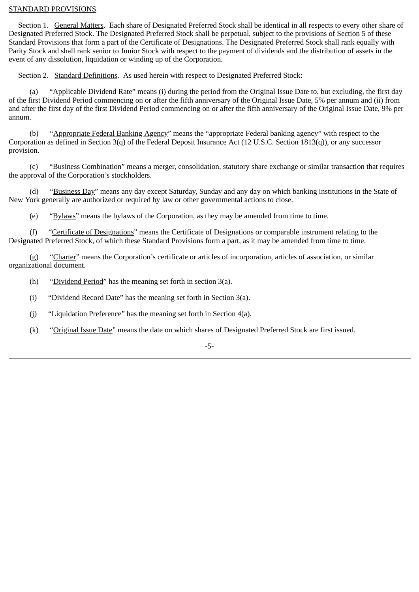#### STANDARD PROVISIONS

 Section 1. General Matters. Each share of Designated Preferred Stock shall be identical in all respects to every other share of Designated Preferred Stock. The Designated Preferred Stock shall be perpetual, subject to the provisions of Section 5 of these Standard Provisions that form a part of the Certificate of Designations. The Designated Preferred Stock shall rank equally with Parity Stock and shall rank senior to Junior Stock with respect to the payment of dividends and the distribution of assets in the event of any dissolution, liquidation or winding up of the Corporation.

Section 2. Standard Definitions. As used herein with respect to Designated Preferred Stock:

 (a) "Applicable Dividend Rate" means (i) during the period from the Original Issue Date to, but excluding, the first day of the first Dividend Period commencing on or after the fifth anniversary of the Original Issue Date, 5% per annum and (ii) from and after the first day of the first Dividend Period commencing on or after the fifth anniversary of the Original Issue Date, 9% per annum.

 (b) "Appropriate Federal Banking Agency" means the "appropriate Federal banking agency" with respect to the Corporation as defined in Section 3(q) of the Federal Deposit Insurance Act (12 U.S.C. Section 1813(q)), or any successor provision.

 (c) "Business Combination" means a merger, consolidation, statutory share exchange or similar transaction that requires the approval of the Corporation's stockholders.

 (d) "Business Day" means any day except Saturday, Sunday and any day on which banking institutions in the State of New York generally are authorized or required by law or other governmental actions to close.

(e) "Bylaws" means the bylaws of the Corporation, as they may be amended from time to time.

 (f) "Certificate of Designations" means the Certificate of Designations or comparable instrument relating to the Designated Preferred Stock, of which these Standard Provisions form a part, as it may be amended from time to time.

 (g) "Charter" means the Corporation's certificate or articles of incorporation, articles of association, or similar organizational document.

- (h) "Dividend Period" has the meaning set forth in section 3(a).
- (i) "Dividend Record Date" has the meaning set forth in Section 3(a).
- (j) "Liquidation Preference" has the meaning set forth in Section 4(a).
- (k) "Original Issue Date" means the date on which shares of Designated Preferred Stock are first issued.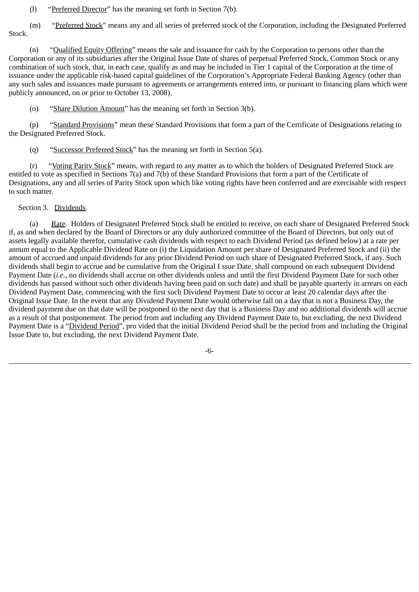(l) "Preferred Director" has the meaning set forth in Section 7(b).

(m) "Preferred Stock" means any and all series of preferred stock of the Corporation, including the Designated Preferred Stock.

 (n) "Qualified Equity Offering" means the sale and issuance for cash by the Corporation to persons other than the Corporation or any of its subsidiaries after the Original Issue Date of shares of perpetual Preferred Stock, Common Stock or any combination of such stock, that, in each case, qualify as and may be included in Tier 1 capital of the Corporation at the time of issuance under the applicable risk-based capital guidelines of the Corporation's Appropriate Federal Banking Agency (other than any such sales and issuances made pursuant to agreements or arrangements entered into, or pursuant to financing plans which were publicly announced, on or prior to October 13, 2008).

(o) "Share Dilution Amount" has the meaning set forth in Section 3(b).

 (p) "Standard Provisions" mean these Standard Provisions that form a part of the Certificate of Designations relating to the Designated Preferred Stock.

(q) "Successor Preferred Stock" has the meaning set forth in Section 5(a).

 (r) "Voting Parity Stock" means, with regard to any matter as to which the holders of Designated Preferred Stock are entitled to vote as specified in Sections 7(a) and 7(b) of these Standard Provisions that form a part of the Certificate of Designations, any and all series of Parity Stock upon which like voting rights have been conferred and are exercisable with respect to such matter.

#### Section 3. Dividends.

(a) Rate. Holders of Designated Preferred Stock shall be entitled to receive, on each share of Designated Preferred Stock if, as and when declared by the Board of Directors or any duly authorized committee of the Board of Directors, but only out of assets legally available therefor, cumulative cash dividends with respect to each Dividend Period (as defined below) at a rate per annum equal to the Applicable Dividend Rate on (i) the Liquidation Amount per share of Designated Preferred Stock and (ii) the amount of accrued and unpaid dividends for any prior Dividend Period on such share of Designated Preferred Stock, if any. Such dividends shall begin to accrue and be cumulative from the Original I ssue Date, shall compound on each subsequent Dividend Payment Date (*i.e.*, no dividends shall accrue on other dividends unless and until the first Dividend Payment Date for such other dividends has passed without such other dividends having been paid on such date) and shall be payable quarterly in arrears on each Dividend Payment Date, commencing with the first such Dividend Payment Date to occur at least 20 calendar days after the Original Issue Date. In the event that any Dividend Payment Date would otherwise fall on a day that is not a Business Day, the dividend payment due on that date will be postponed to the next day that is a Business Day and no additional dividends will accrue as a result of that postponement. The period from and including any Dividend Payment Date to, but excluding, the next Dividend Payment Date is a "Dividend Period", pro vided that the initial Dividend Period shall be the period from and including the Original Issue Date to, but excluding, the next Dividend Payment Date.

-6-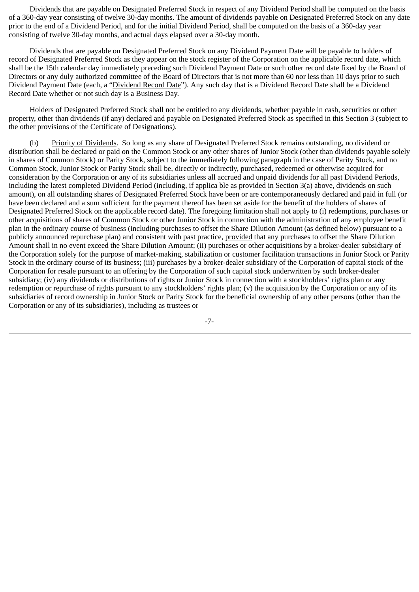Dividends that are payable on Designated Preferred Stock in respect of any Dividend Period shall be computed on the basis of a 360-day year consisting of twelve 30-day months. The amount of dividends payable on Designated Preferred Stock on any date prior to the end of a Dividend Period, and for the initial Dividend Period, shall be computed on the basis of a 360-day year consisting of twelve 30-day months, and actual days elapsed over a 30-day month.

 Dividends that are payable on Designated Preferred Stock on any Dividend Payment Date will be payable to holders of record of Designated Preferred Stock as they appear on the stock register of the Corporation on the applicable record date, which shall be the 15th calendar day immediately preceding such Dividend Payment Date or such other record date fixed by the Board of Directors or any duly authorized committee of the Board of Directors that is not more than 60 nor less than 10 days prior to such Dividend Payment Date (each, a "Dividend Record Date"). Any such day that is a Dividend Record Date shall be a Dividend Record Date whether or not such day is a Business Day.

 Holders of Designated Preferred Stock shall not be entitled to any dividends, whether payable in cash, securities or other property, other than dividends (if any) declared and payable on Designated Preferred Stock as specified in this Section 3 (subject to the other provisions of the Certificate of Designations).

 (b) Priority of Dividends. So long as any share of Designated Preferred Stock remains outstanding, no dividend or distribution shall be declared or paid on the Common Stock or any other shares of Junior Stock (other than dividends payable solely in shares of Common Stock) or Parity Stock, subject to the immediately following paragraph in the case of Parity Stock, and no Common Stock, Junior Stock or Parity Stock shall be, directly or indirectly, purchased, redeemed or otherwise acquired for consideration by the Corporation or any of its subsidiaries unless all accrued and unpaid dividends for all past Dividend Periods, including the latest completed Dividend Period (including, if applica ble as provided in Section 3(a) above, dividends on such amount), on all outstanding shares of Designated Preferred Stock have been or are contemporaneously declared and paid in full (or have been declared and a sum sufficient for the payment thereof has been set aside for the benefit of the holders of shares of Designated Preferred Stock on the applicable record date). The foregoing limitation shall not apply to (i) redemptions, purchases or other acquisitions of shares of Common Stock or other Junior Stock in connection with the administration of any employee benefit plan in the ordinary course of business (including purchases to offset the Share Dilution Amount (as defined below) pursuant to a publicly announced repurchase plan) and consistent with past practice, provided that any purchases to offset the Share Dilution Amount shall in no event exceed the Share Dilution Amount; (ii) purchases or other acquisitions by a broker-dealer subsidiary of the Corporation solely for the purpose of market-making, stabilization or customer facilitation transactions in Junior Stock or Parity Stock in the ordinary course of its business; (iii) purchases by a broker-dealer subsidiary of the Corporation of capital stock of the Corporation for resale pursuant to an offering by the Corporation of such capital stock underwritten by such broker-dealer subsidiary; (iv) any dividends or distributions of rights or Junior Stock in connection with a stockholders' rights plan or any redemption or repurchase of rights pursuant to any stockholders' rights plan; (v) the acquisition by the Corporation or any of its subsidiaries of record ownership in Junior Stock or Parity Stock for the beneficial ownership of any other persons (other than the Corporation or any of its subsidiaries), including as trustees or

-7-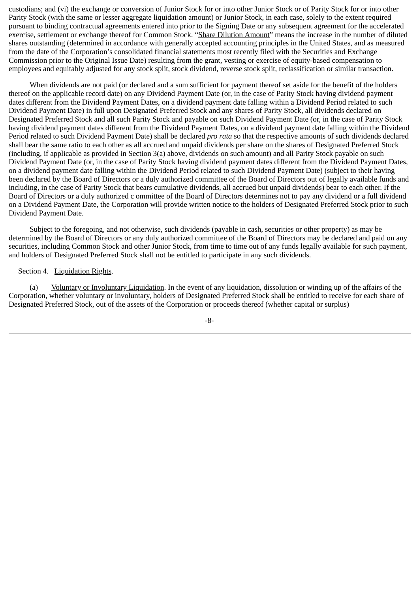custodians; and (vi) the exchange or conversion of Junior Stock for or into other Junior Stock or of Parity Stock for or into other Parity Stock (with the same or lesser aggregate liquidation amount) or Junior Stock, in each case, solely to the extent required pursuant to binding contractual agreements entered into prior to the Signing Date or any subsequent agreement for the accelerated exercise, settlement or exchange thereof for Common Stock. "Share Dilution Amount" means the increase in the number of diluted shares outstanding (determined in accordance with generally accepted accounting principles in the United States, and as measured from the date of the Corporation's consolidated financial statements most recently filed with the Securities and Exchange Commission prior to the Original Issue Date) resulting from the grant, vesting or exercise of equity-based compensation to employees and equitably adjusted for any stock split, stock dividend, reverse stock split, reclassification or similar transaction.

 When dividends are not paid (or declared and a sum sufficient for payment thereof set aside for the benefit of the holders thereof on the applicable record date) on any Dividend Payment Date (or, in the case of Parity Stock having dividend payment dates different from the Dividend Payment Dates, on a dividend payment date falling within a Dividend Period related to such Dividend Payment Date) in full upon Designated Preferred Stock and any shares of Parity Stock, all dividends declared on Designated Preferred Stock and all such Parity Stock and payable on such Dividend Payment Date (or, in the case of Parity Stock having dividend payment dates different from the Dividend Payment Dates, on a dividend payment date falling within the Dividend Period related to such Dividend Payment Date) shall be declared *pro rata* so that the respective amounts of such dividends declared shall bear the same ratio to each other as all accrued and unpaid dividends per share on the shares of Designated Preferred Stock (including, if applicable as provided in Section 3(a) above, dividends on such amount) and all Parity Stock payable on such Dividend Payment Date (or, in the case of Parity Stock having dividend payment dates different from the Dividend Payment Dates, on a dividend payment date falling within the Dividend Period related to such Dividend Payment Date) (subject to their having been declared by the Board of Directors or a duly authorized committee of the Board of Directors out of legally available funds and including, in the case of Parity Stock that bears cumulative dividends, all accrued but unpaid dividends) bear to each other. If the Board of Directors or a duly authorized c ommittee of the Board of Directors determines not to pay any dividend or a full dividend on a Dividend Payment Date, the Corporation will provide written notice to the holders of Designated Preferred Stock prior to such Dividend Payment Date.

 Subject to the foregoing, and not otherwise, such dividends (payable in cash, securities or other property) as may be determined by the Board of Directors or any duly authorized committee of the Board of Directors may be declared and paid on any securities, including Common Stock and other Junior Stock, from time to time out of any funds legally available for such payment, and holders of Designated Preferred Stock shall not be entitled to participate in any such dividends.

#### Section 4. Liquidation Rights.

 (a) Voluntary or Involuntary Liquidation. In the event of any liquidation, dissolution or winding up of the affairs of the Corporation, whether voluntary or involuntary, holders of Designated Preferred Stock shall be entitled to receive for each share of Designated Preferred Stock, out of the assets of the Corporation or proceeds thereof (whether capital or surplus)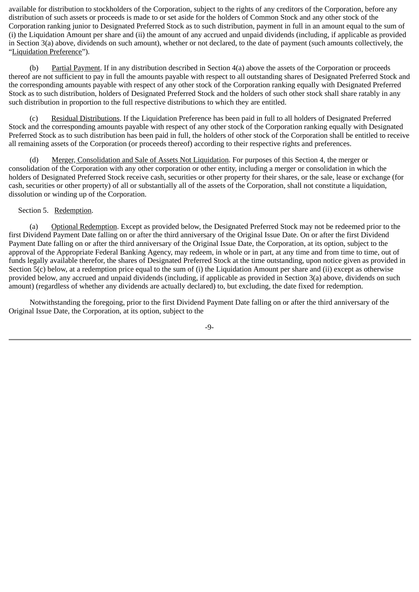available for distribution to stockholders of the Corporation, subject to the rights of any creditors of the Corporation, before any distribution of such assets or proceeds is made to or set aside for the holders of Common Stock and any other stock of the Corporation ranking junior to Designated Preferred Stock as to such distribution, payment in full in an amount equal to the sum of (i) the Liquidation Amount per share and (ii) the amount of any accrued and unpaid dividends (including, if applicable as provided in Section 3(a) above, dividends on such amount), whether or not declared, to the date of payment (such amounts collectively, the "Liquidation Preference").

 (b) Partial Payment. If in any distribution described in Section 4(a) above the assets of the Corporation or proceeds thereof are not sufficient to pay in full the amounts payable with respect to all outstanding shares of Designated Preferred Stock and the corresponding amounts payable with respect of any other stock of the Corporation ranking equally with Designated Preferred Stock as to such distribution, holders of Designated Preferred Stock and the holders of such other stock shall share ratably in any such distribution in proportion to the full respective distributions to which they are entitled.

 (c) Residual Distributions. If the Liquidation Preference has been paid in full to all holders of Designated Preferred Stock and the corresponding amounts payable with respect of any other stock of the Corporation ranking equally with Designated Preferred Stock as to such distribution has been paid in full, the holders of other stock of the Corporation shall be entitled to receive all remaining assets of the Corporation (or proceeds thereof) according to their respective rights and preferences.

 (d) Merger, Consolidation and Sale of Assets Not Liquidation. For purposes of this Section 4, the merger or consolidation of the Corporation with any other corporation or other entity, including a merger or consolidation in which the holders of Designated Preferred Stock receive cash, securities or other property for their shares, or the sale, lease or exchange (for cash, securities or other property) of all or substantially all of the assets of the Corporation, shall not constitute a liquidation, dissolution or winding up of the Corporation.

# Section 5. Redemption.

 (a) Optional Redemption. Except as provided below, the Designated Preferred Stock may not be redeemed prior to the first Dividend Payment Date falling on or after the third anniversary of the Original Issue Date. On or after the first Dividend Payment Date falling on or after the third anniversary of the Original Issue Date, the Corporation, at its option, subject to the approval of the Appropriate Federal Banking Agency, may redeem, in whole or in part, at any time and from time to time, out of funds legally available therefor, the shares of Designated Preferred Stock at the time outstanding, upon notice given as provided in Section 5(c) below, at a redemption price equal to the sum of (i) the Liquidation Amount per share and (ii) except as otherwise provided below, any accrued and unpaid dividends (including, if applicable as provided in Section 3(a) above, dividends on such amount) (regardless of whether any dividends are actually declared) to, but excluding, the date fixed for redemption.

 Notwithstanding the foregoing, prior to the first Dividend Payment Date falling on or after the third anniversary of the Original Issue Date, the Corporation, at its option, subject to the

-9-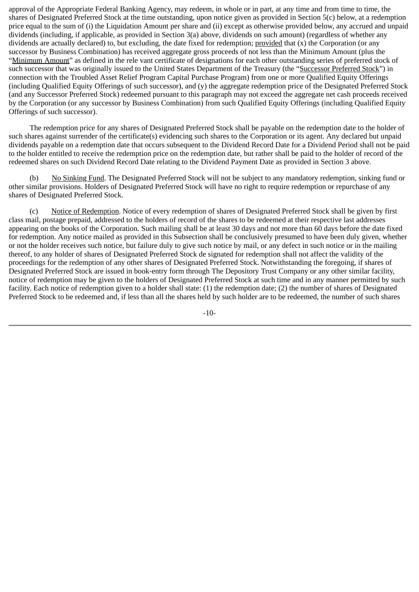approval of the Appropriate Federal Banking Agency, may redeem, in whole or in part, at any time and from time to time, the shares of Designated Preferred Stock at the time outstanding, upon notice given as provided in Section 5(c) below, at a redemption price equal to the sum of (i) the Liquidation Amount per share and (ii) except as otherwise provided below, any accrued and unpaid dividends (including, if applicable, as provided in Section 3(a) above, dividends on such amount) (regardless of whether any dividends are actually declared) to, but excluding, the date fixed for redemption; provided that (x) the Corporation (or any successor by Business Combination) has received aggregate gross proceeds of not less than the Minimum Amount (plus the "Minimum Amount" as defined in the rele vant certificate of designations for each other outstanding series of preferred stock of such successor that was originally issued to the United States Department of the Treasury (the "Successor Preferred Stock") in connection with the Troubled Asset Relief Program Capital Purchase Program) from one or more Qualified Equity Offerings (including Qualified Equity Offerings of such successor), and (y) the aggregate redemption price of the Designated Preferred Stock (and any Successor Preferred Stock) redeemed pursuant to this paragraph may not exceed the aggregate net cash proceeds received by the Corporation (or any successor by Business Combination) from such Qualified Equity Offerings (including Qualified Equity Offerings of such successor).

 The redemption price for any shares of Designated Preferred Stock shall be payable on the redemption date to the holder of such shares against surrender of the certificate(s) evidencing such shares to the Corporation or its agent. Any declared but unpaid dividends payable on a redemption date that occurs subsequent to the Dividend Record Date for a Dividend Period shall not be paid to the holder entitled to receive the redemption price on the redemption date, but rather shall be paid to the holder of record of the redeemed shares on such Dividend Record Date relating to the Dividend Payment Date as provided in Section 3 above.

(b) No Sinking Fund. The Designated Preferred Stock will not be subject to any mandatory redemption, sinking fund or other similar provisions. Holders of Designated Preferred Stock will have no right to require redemption or repurchase of any shares of Designated Preferred Stock.

 (c) Notice of Redemption. Notice of every redemption of shares of Designated Preferred Stock shall be given by first class mail, postage prepaid, addressed to the holders of record of the shares to be redeemed at their respective last addresses appearing on the books of the Corporation. Such mailing shall be at least 30 days and not more than 60 days before the date fixed for redemption. Any notice mailed as provided in this Subsection shall be conclusively presumed to have been duly given, whether or not the holder receives such notice, but failure duly to give such notice by mail, or any defect in such notice or in the mailing thereof, to any holder of shares of Designated Preferred Stock de signated for redemption shall not affect the validity of the proceedings for the redemption of any other shares of Designated Preferred Stock. Notwithstanding the foregoing, if shares of Designated Preferred Stock are issued in book-entry form through The Depository Trust Company or any other similar facility, notice of redemption may be given to the holders of Designated Preferred Stock at such time and in any manner permitted by such facility. Each notice of redemption given to a holder shall state: (1) the redemption date; (2) the number of shares of Designated Preferred Stock to be redeemed and, if less than all the shares held by such holder are to be redeemed, the number of such shares

-10-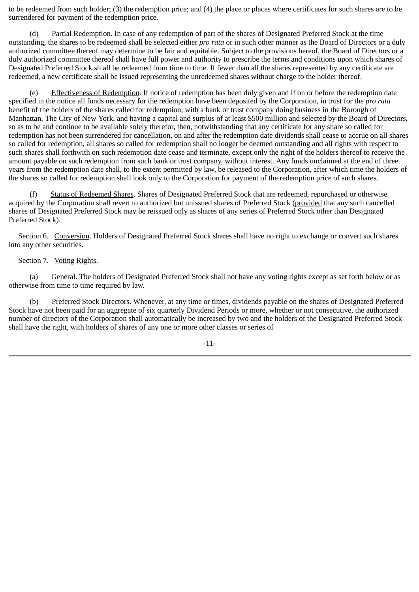to be redeemed from such holder; (3) the redemption price; and (4) the place or places where certificates for such shares are to be surrendered for payment of the redemption price.

 (d) Partial Redemption. In case of any redemption of part of the shares of Designated Preferred Stock at the time outstanding, the shares to be redeemed shall be selected either *pro rata* or in such other manner as the Board of Directors or a duly authorized committee thereof may determine to be fair and equitable. Subject to the provisions hereof, the Board of Directors or a duly authorized committee thereof shall have full power and authority to prescribe the terms and conditions upon which shares of Designated Preferred Stock sh all be redeemed from time to time. If fewer than all the shares represented by any certificate are redeemed, a new certificate shall be issued representing the unredeemed shares without charge to the holder thereof.

Effectiveness of Redemption. If notice of redemption has been duly given and if on or before the redemption date specified in the notice all funds necessary for the redemption have been deposited by the Corporation, in trust for the *pro rata* benefit of the holders of the shares called for redemption, with a bank or trust company doing business in the Borough of Manhattan, The City of New York, and having a capital and surplus of at least \$500 million and selected by the Board of Directors, so as to be and continue to be available solely therefor, then, notwithstanding that any certificate for any share so called for redemption has not been surrendered for cancellation, on and after the redemption date dividends shall cease to accrue on all shares so called for redemption, all shares so called for redemption shall no longer be deemed outstanding and all rights with respect to such shares shall forthwith on such redemption date cease and terminate, except only the right of the holders thereof to receive the amount payable on such redemption from such bank or trust company, without interest. Any funds unclaimed at the end of three years from the redemption date shall, to the extent permitted by law, be released to the Corporation, after which time the holders of the shares so called for redemption shall look only to the Corporation for payment of the redemption price of such shares.

 (f) Status of Redeemed Shares. Shares of Designated Preferred Stock that are redeemed, repurchased or otherwise acquired by the Corporation shall revert to authorized but unissued shares of Preferred Stock (provided that any such cancelled shares of Designated Preferred Stock may be reissued only as shares of any series of Preferred Stock other than Designated Preferred Stock).

 Section 6. Conversion. Holders of Designated Preferred Stock shares shall have no right to exchange or convert such shares into any other securities.

#### Section 7. Voting Rights.

 (a) General. The holders of Designated Preferred Stock shall not have any voting rights except as set forth below or as otherwise from time to time required by law.

 (b) Preferred Stock Directors. Whenever, at any time or times, dividends payable on the shares of Designated Preferred Stock have not been paid for an aggregate of six quarterly Dividend Periods or more, whether or not consecutive, the authorized number of directors of the Corporation shall automatically be increased by two and the holders of the Designated Preferred Stock shall have the right, with holders of shares of any one or more other classes or series of

-11-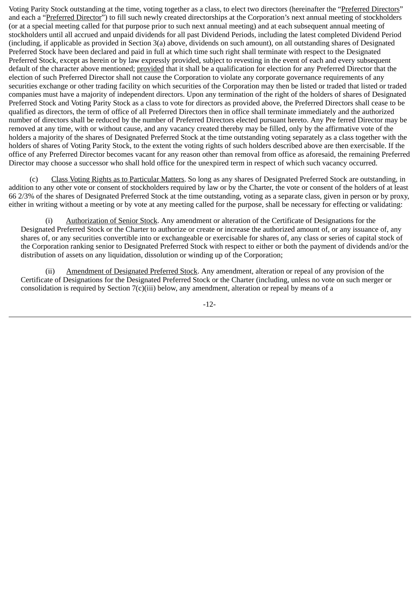Voting Parity Stock outstanding at the time, voting together as a class, to elect two directors (hereinafter the "Preferred Directors" and each a "Preferred Director") to fill such newly created directorships at the Corporation's next annual meeting of stockholders (or at a special meeting called for that purpose prior to such next annual meeting) and at each subsequent annual meeting of stockholders until all accrued and unpaid dividends for all past Dividend Periods, including the latest completed Dividend Period (including, if applicable as provided in Section 3(a) above, dividends on such amount), on all outstanding shares of Designated Preferred Stock have been declared and paid in full at which time such right shall terminate with respect to the Designated Preferred Stock, except as herein or by law expressly provided, subject to revesting in the event of each and every subsequent default of the character above mentioned; provided that it shall be a qualification for election for any Preferred Director that the election of such Preferred Director shall not cause the Corporation to violate any corporate governance requirements of any securities exchange or other trading facility on which securities of the Corporation may then be listed or traded that listed or traded companies must have a majority of independent directors. Upon any termination of the right of the holders of shares of Designated Preferred Stock and Voting Parity Stock as a class to vote for directors as provided above, the Preferred Directors shall cease to be qualified as directors, the term of office of all Preferred Directors then in office shall terminate immediately and the authorized number of directors shall be reduced by the number of Preferred Directors elected pursuant hereto. Any Pre ferred Director may be removed at any time, with or without cause, and any vacancy created thereby may be filled, only by the affirmative vote of the holders a majority of the shares of Designated Preferred Stock at the time outstanding voting separately as a class together with the holders of shares of Voting Parity Stock, to the extent the voting rights of such holders described above are then exercisable. If the office of any Preferred Director becomes vacant for any reason other than removal from office as aforesaid, the remaining Preferred Director may choose a successor who shall hold office for the unexpired term in respect of which such vacancy occurred.

 (c) Class Voting Rights as to Particular Matters. So long as any shares of Designated Preferred Stock are outstanding, in addition to any other vote or consent of stockholders required by law or by the Charter, the vote or consent of the holders of at least 66 2/3% of the shares of Designated Preferred Stock at the time outstanding, voting as a separate class, given in person or by proxy, either in writing without a meeting or by vote at any meeting called for the purpose, shall be necessary for effecting or validating:

 (i) Authorization of Senior Stock. Any amendment or alteration of the Certificate of Designations for the Designated Preferred Stock or the Charter to authorize or create or increase the authorized amount of, or any issuance of, any shares of, or any securities convertible into or exchangeable or exercisable for shares of, any class or series of capital stock of the Corporation ranking senior to Designated Preferred Stock with respect to either or both the payment of dividends and/or the distribution of assets on any liquidation, dissolution or winding up of the Corporation;

 (ii) Amendment of Designated Preferred Stock. Any amendment, alteration or repeal of any provision of the Certificate of Designations for the Designated Preferred Stock or the Charter (including, unless no vote on such merger or consolidation is required by Section 7(c)(iii) below, any amendment, alteration or repeal by means of a

-12-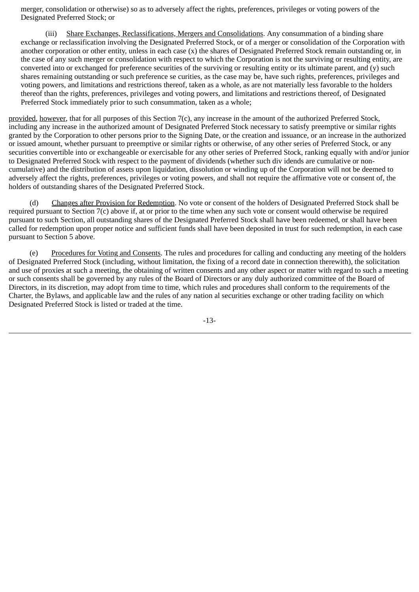merger, consolidation or otherwise) so as to adversely affect the rights, preferences, privileges or voting powers of the Designated Preferred Stock; or

 (iii) Share Exchanges, Reclassifications, Mergers and Consolidations. Any consummation of a binding share exchange or reclassification involving the Designated Preferred Stock, or of a merger or consolidation of the Corporation with another corporation or other entity, unless in each case (x) the shares of Designated Preferred Stock remain outstanding or, in the case of any such merger or consolidation with respect to which the Corporation is not the surviving or resulting entity, are converted into or exchanged for preference securities of the surviving or resulting entity or its ultimate parent, and  $(v)$  such shares remaining outstanding or such preference se curities, as the case may be, have such rights, preferences, privileges and voting powers, and limitations and restrictions thereof, taken as a whole, as are not materially less favorable to the holders thereof than the rights, preferences, privileges and voting powers, and limitations and restrictions thereof, of Designated Preferred Stock immediately prior to such consummation, taken as a whole;

provided, however, that for all purposes of this Section 7(c), any increase in the amount of the authorized Preferred Stock, including any increase in the authorized amount of Designated Preferred Stock necessary to satisfy preemptive or similar rights granted by the Corporation to other persons prior to the Signing Date, or the creation and issuance, or an increase in the authorized or issued amount, whether pursuant to preemptive or similar rights or otherwise, of any other series of Preferred Stock, or any securities convertible into or exchangeable or exercisable for any other series of Preferred Stock, ranking equally with and/or junior to Designated Preferred Stock with respect to the payment of dividends (whether such div idends are cumulative or noncumulative) and the distribution of assets upon liquidation, dissolution or winding up of the Corporation will not be deemed to adversely affect the rights, preferences, privileges or voting powers, and shall not require the affirmative vote or consent of, the holders of outstanding shares of the Designated Preferred Stock.

 (d) Changes after Provision for Redemption. No vote or consent of the holders of Designated Preferred Stock shall be required pursuant to Section 7(c) above if, at or prior to the time when any such vote or consent would otherwise be required pursuant to such Section, all outstanding shares of the Designated Preferred Stock shall have been redeemed, or shall have been called for redemption upon proper notice and sufficient funds shall have been deposited in trust for such redemption, in each case pursuant to Section 5 above.

 (e) Procedures for Voting and Consents. The rules and procedures for calling and conducting any meeting of the holders of Designated Preferred Stock (including, without limitation, the fixing of a record date in connection therewith), the solicitation and use of proxies at such a meeting, the obtaining of written consents and any other aspect or matter with regard to such a meeting or such consents shall be governed by any rules of the Board of Directors or any duly authorized committee of the Board of Directors, in its discretion, may adopt from time to time, which rules and procedures shall conform to the requirements of the Charter, the Bylaws, and applicable law and the rules of any nation al securities exchange or other trading facility on which Designated Preferred Stock is listed or traded at the time.

-13-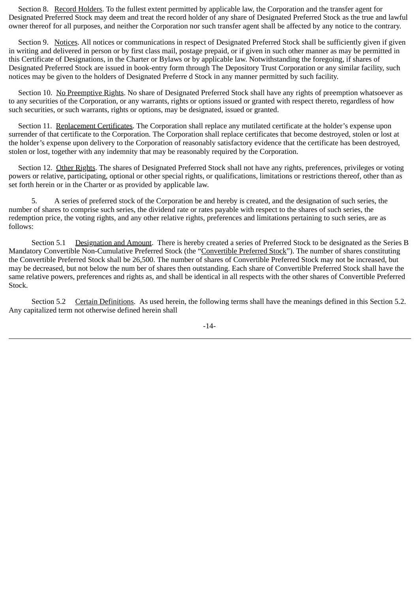Section 8. Record Holders. To the fullest extent permitted by applicable law, the Corporation and the transfer agent for Designated Preferred Stock may deem and treat the record holder of any share of Designated Preferred Stock as the true and lawful owner thereof for all purposes, and neither the Corporation nor such transfer agent shall be affected by any notice to the contrary.

Section 9. Notices. All notices or communications in respect of Designated Preferred Stock shall be sufficiently given if given in writing and delivered in person or by first class mail, postage prepaid, or if given in such other manner as may be permitted in this Certificate of Designations, in the Charter or Bylaws or by applicable law. Notwithstanding the foregoing, if shares of Designated Preferred Stock are issued in book-entry form through The Depository Trust Corporation or any similar facility, such notices may be given to the holders of Designated Preferre d Stock in any manner permitted by such facility.

 Section 10. No Preemptive Rights. No share of Designated Preferred Stock shall have any rights of preemption whatsoever as to any securities of the Corporation, or any warrants, rights or options issued or granted with respect thereto, regardless of how such securities, or such warrants, rights or options, may be designated, issued or granted.

 Section 11. Replacement Certificates. The Corporation shall replace any mutilated certificate at the holder's expense upon surrender of that certificate to the Corporation. The Corporation shall replace certificates that become destroyed, stolen or lost at the holder's expense upon delivery to the Corporation of reasonably satisfactory evidence that the certificate has been destroyed, stolen or lost, together with any indemnity that may be reasonably required by the Corporation.

Section 12. Other Rights. The shares of Designated Preferred Stock shall not have any rights, preferences, privileges or voting powers or relative, participating, optional or other special rights, or qualifications, limitations or restrictions thereof, other than as set forth herein or in the Charter or as provided by applicable law.

 5. A series of preferred stock of the Corporation be and hereby is created, and the designation of such series, the number of shares to comprise such series, the dividend rate or rates payable with respect to the shares of such series, the redemption price, the voting rights, and any other relative rights, preferences and limitations pertaining to such series, are as follows:

 Section 5.1 Designation and Amount. There is hereby created a series of Preferred Stock to be designated as the Series B Mandatory Convertible Non-Cumulative Preferred Stock (the "Convertible Preferred Stock"). The number of shares constituting the Convertible Preferred Stock shall be 26,500. The number of shares of Convertible Preferred Stock may not be increased, but may be decreased, but not below the num ber of shares then outstanding. Each share of Convertible Preferred Stock shall have the same relative powers, preferences and rights as, and shall be identical in all respects with the other shares of Convertible Preferred Stock.

 Section 5.2 Certain Definitions. As used herein, the following terms shall have the meanings defined in this Section 5.2. Any capitalized term not otherwise defined herein shall

-14-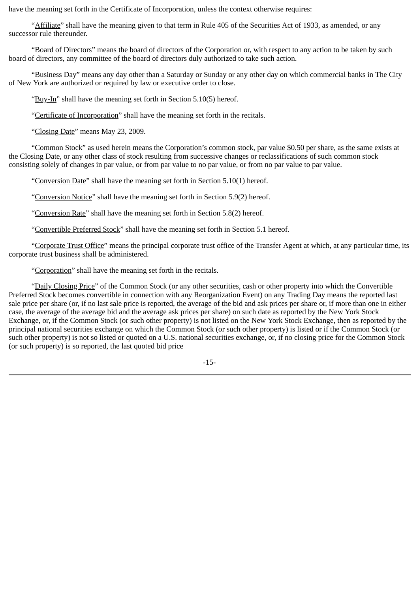have the meaning set forth in the Certificate of Incorporation, unless the context otherwise requires:

"Affiliate" shall have the meaning given to that term in Rule 405 of the Securities Act of 1933, as amended, or any successor rule thereunder.

 "Board of Directors" means the board of directors of the Corporation or, with respect to any action to be taken by such board of directors, any committee of the board of directors duly authorized to take such action.

 "Business Day" means any day other than a Saturday or Sunday or any other day on which commercial banks in The City of New York are authorized or required by law or executive order to close.

"Buy-In" shall have the meaning set forth in Section 5.10(5) hereof.

"Certificate of Incorporation" shall have the meaning set forth in the recitals.

"Closing Date" means May 23, 2009.

 "Common Stock" as used herein means the Corporation's common stock, par value \$0.50 per share, as the same exists at the Closing Date, or any other class of stock resulting from successive changes or reclassifications of such common stock consisting solely of changes in par value, or from par value to no par value, or from no par value to par value.

"Conversion Date" shall have the meaning set forth in Section 5.10(1) hereof.

"Conversion Notice" shall have the meaning set forth in Section 5.9(2) hereof.

"Conversion Rate" shall have the meaning set forth in Section 5.8(2) hereof.

"Convertible Preferred Stock" shall have the meaning set forth in Section 5.1 hereof.

"Corporate Trust Office" means the principal corporate trust office of the Transfer Agent at which, at any particular time, its corporate trust business shall be administered.

"Corporation" shall have the meaning set forth in the recitals.

 "Daily Closing Price" of the Common Stock (or any other securities, cash or other property into which the Convertible Preferred Stock becomes convertible in connection with any Reorganization Event) on any Trading Day means the reported last sale price per share (or, if no last sale price is reported, the average of the bid and ask prices per share or, if more than one in either case, the average of the average bid and the average ask prices per share) on such date as reported by the New York Stock Exchange, or, if the Common Stock (or such other property) is not listed on the New York Stock Exchange, then as reported by the principal national securities exchange on which the Common Stock (or such other property) is listed or if the Common Stock (or such other property) is not so listed or quoted on a U.S. national securities exchange, or, if no closing price for the Common Stock (or such property) is so reported, the last quoted bid price

-15-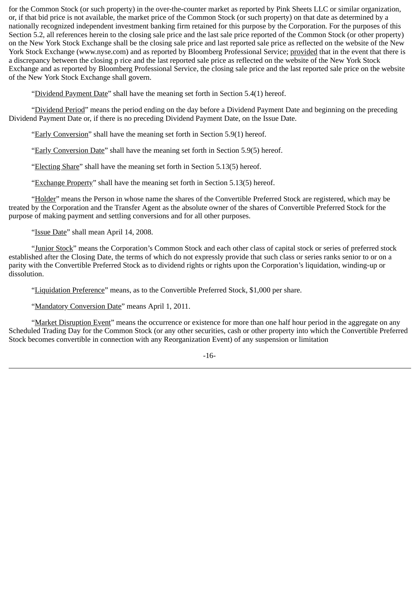for the Common Stock (or such property) in the over-the-counter market as reported by Pink Sheets LLC or similar organization, or, if that bid price is not available, the market price of the Common Stock (or such property) on that date as determined by a nationally recognized independent investment banking firm retained for this purpose by the Corporation. For the purposes of this Section 5.2, all references herein to the closing sale price and the last sale price reported of the Common Stock (or other property) on the New York Stock Exchange shall be the closing sale price and last reported sale price as reflected on the website of the New York Stock Exchange (www.nyse.com) and as reported by Bloomberg Professional Service; provided that in the event that there is a discrepancy between the closing p rice and the last reported sale price as reflected on the website of the New York Stock Exchange and as reported by Bloomberg Professional Service, the closing sale price and the last reported sale price on the website of the New York Stock Exchange shall govern.

"Dividend Payment Date" shall have the meaning set forth in Section 5.4(1) hereof.

 "Dividend Period" means the period ending on the day before a Dividend Payment Date and beginning on the preceding Dividend Payment Date or, if there is no preceding Dividend Payment Date, on the Issue Date.

"Early Conversion" shall have the meaning set forth in Section 5.9(1) hereof.

"Early Conversion Date" shall have the meaning set forth in Section 5.9(5) hereof.

"Electing Share" shall have the meaning set forth in Section 5.13(5) hereof.

"Exchange Property" shall have the meaning set forth in Section 5.13(5) hereof.

 "Holder" means the Person in whose name the shares of the Convertible Preferred Stock are registered, which may be treated by the Corporation and the Transfer Agent as the absolute owner of the shares of Convertible Preferred Stock for the purpose of making payment and settling conversions and for all other purposes.

"Issue Date" shall mean April 14, 2008.

 "Junior Stock" means the Corporation's Common Stock and each other class of capital stock or series of preferred stock established after the Closing Date, the terms of which do not expressly provide that such class or series ranks senior to or on a parity with the Convertible Preferred Stock as to dividend rights or rights upon the Corporation's liquidation, winding-up or dissolution.

"Liquidation Preference" means, as to the Convertible Preferred Stock, \$1,000 per share.

"Mandatory Conversion Date" means April 1, 2011.

"Market Disruption Event" means the occurrence or existence for more than one half hour period in the aggregate on any Scheduled Trading Day for the Common Stock (or any other securities, cash or other property into which the Convertible Preferred Stock becomes convertible in connection with any Reorganization Event) of any suspension or limitation

-16-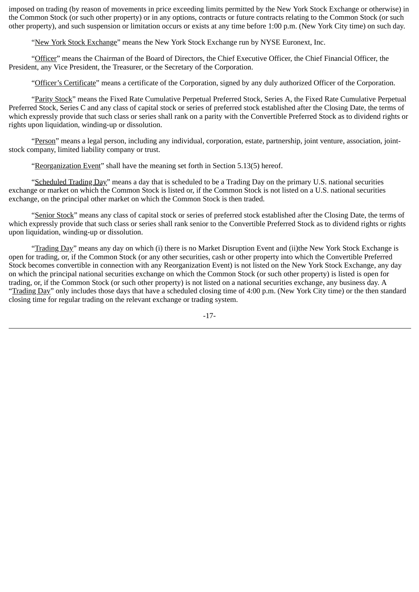imposed on trading (by reason of movements in price exceeding limits permitted by the New York Stock Exchange or otherwise) in the Common Stock (or such other property) or in any options, contracts or future contracts relating to the Common Stock (or such other property), and such suspension or limitation occurs or exists at any time before 1:00 p.m. (New York City time) on such day.

"New York Stock Exchange" means the New York Stock Exchange run by NYSE Euronext, Inc.

 "Officer" means the Chairman of the Board of Directors, the Chief Executive Officer, the Chief Financial Officer, the President, any Vice President, the Treasurer, or the Secretary of the Corporation.

"Officer's Certificate" means a certificate of the Corporation, signed by any duly authorized Officer of the Corporation.

"Parity Stock" means the Fixed Rate Cumulative Perpetual Preferred Stock, Series A, the Fixed Rate Cumulative Perpetual Preferred Stock, Series C and any class of capital stock or series of preferred stock established after the Closing Date, the terms of which expressly provide that such class or series shall rank on a parity with the Convertible Preferred Stock as to dividend rights or rights upon liquidation, winding-up or dissolution.

 "Person" means a legal person, including any individual, corporation, estate, partnership, joint venture, association, jointstock company, limited liability company or trust.

"Reorganization Event" shall have the meaning set forth in Section 5.13(5) hereof.

 "Scheduled Trading Day" means a day that is scheduled to be a Trading Day on the primary U.S. national securities exchange or market on which the Common Stock is listed or, if the Common Stock is not listed on a U.S. national securities exchange, on the principal other market on which the Common Stock is then traded.

 "Senior Stock" means any class of capital stock or series of preferred stock established after the Closing Date, the terms of which expressly provide that such class or series shall rank senior to the Convertible Preferred Stock as to dividend rights or rights upon liquidation, winding-up or dissolution.

 "Trading Day" means any day on which (i) there is no Market Disruption Event and (ii)the New York Stock Exchange is open for trading, or, if the Common Stock (or any other securities, cash or other property into which the Convertible Preferred Stock becomes convertible in connection with any Reorganization Event) is not listed on the New York Stock Exchange, any day on which the principal national securities exchange on which the Common Stock (or such other property) is listed is open for trading, or, if the Common Stock (or such other property) is not listed on a national securities exchange, any business day. A "Trading Day" only includes those days that have a scheduled closing time of 4:00 p.m. (New York City time) or the then standard closing time for regular trading on the relevant exchange or trading system.

-17-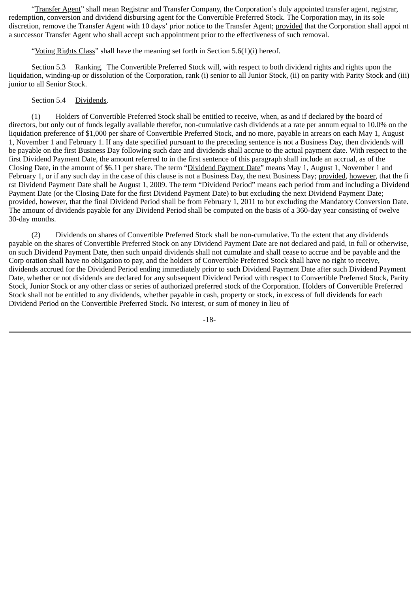"Transfer Agent" shall mean Registrar and Transfer Company, the Corporation's duly appointed transfer agent, registrar, redemption, conversion and dividend disbursing agent for the Convertible Preferred Stock. The Corporation may, in its sole discretion, remove the Transfer Agent with 10 days' prior notice to the Transfer Agent; provided that the Corporation shall appoi nt a successor Transfer Agent who shall accept such appointment prior to the effectiveness of such removal.

"Voting Rights Class" shall have the meaning set forth in Section 5.6(1)(i) hereof.

 Section 5.3 Ranking. The Convertible Preferred Stock will, with respect to both dividend rights and rights upon the liquidation, winding-up or dissolution of the Corporation, rank (i) senior to all Junior Stock, (ii) on parity with Parity Stock and (iii) junior to all Senior Stock.

#### Section 5.4 Dividends.

 (1) Holders of Convertible Preferred Stock shall be entitled to receive, when, as and if declared by the board of directors, but only out of funds legally available therefor, non-cumulative cash dividends at a rate per annum equal to 10.0% on the liquidation preference of \$1,000 per share of Convertible Preferred Stock, and no more, payable in arrears on each May 1, August 1, November 1 and February 1. If any date specified pursuant to the preceding sentence is not a Business Day, then dividends will be payable on the first Business Day following such date and dividends shall accrue to the actual payment date. With respect to the first Dividend Payment Date, the amount referred to in the first sentence of this paragraph shall include an accrual, as of the Closing Date, in the amount of \$6.11 per share. The term "Dividend Payment Date" means May 1, August 1, November 1 and February 1, or if any such day in the case of this clause is not a Business Day, the next Business Day; provided, however, that the fi rst Dividend Payment Date shall be August 1, 2009. The term "Dividend Period" means each period from and including a Dividend Payment Date (or the Closing Date for the first Dividend Payment Date) to but excluding the next Dividend Payment Date; provided, however, that the final Dividend Period shall be from February 1, 2011 to but excluding the Mandatory Conversion Date. The amount of dividends payable for any Dividend Period shall be computed on the basis of a 360-day year consisting of twelve 30-day months.

 (2) Dividends on shares of Convertible Preferred Stock shall be non-cumulative. To the extent that any dividends payable on the shares of Convertible Preferred Stock on any Dividend Payment Date are not declared and paid, in full or otherwise, on such Dividend Payment Date, then such unpaid dividends shall not cumulate and shall cease to accrue and be payable and the Corp oration shall have no obligation to pay, and the holders of Convertible Preferred Stock shall have no right to receive, dividends accrued for the Dividend Period ending immediately prior to such Dividend Payment Date after such Dividend Payment Date, whether or not dividends are declared for any subsequent Dividend Period with respect to Convertible Preferred Stock, Parity Stock, Junior Stock or any other class or series of authorized preferred stock of the Corporation. Holders of Convertible Preferred Stock shall not be entitled to any dividends, whether payable in cash, property or stock, in excess of full dividends for each Dividend Period on the Convertible Preferred Stock. No interest, or sum of money in lieu of

-18-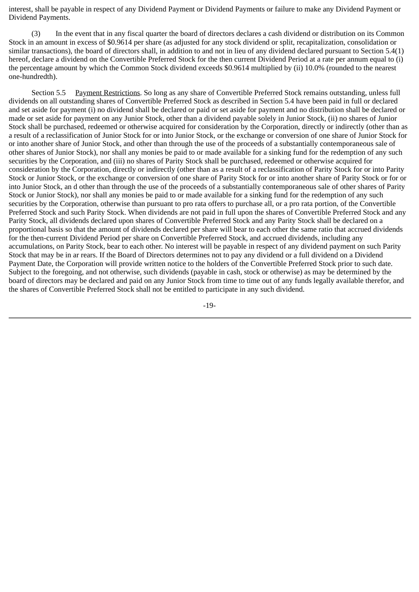interest, shall be payable in respect of any Dividend Payment or Dividend Payments or failure to make any Dividend Payment or Dividend Payments.

 (3) In the event that in any fiscal quarter the board of directors declares a cash dividend or distribution on its Common Stock in an amount in excess of \$0.9614 per share (as adjusted for any stock dividend or split, recapitalization, consolidation or similar transactions), the board of directors shall, in addition to and not in lieu of any dividend declared pursuant to Section 5.4(1) hereof, declare a dividend on the Convertible Preferred Stock for the then current Dividend Period at a rate per annum equal to (i) the percentage amount by which the Common Stock dividend exceeds \$0.9614 multiplied by (ii) 10.0% (rounded to the nearest one-hundredth).

 Section 5.5 Payment Restrictions. So long as any share of Convertible Preferred Stock remains outstanding, unless full dividends on all outstanding shares of Convertible Preferred Stock as described in Section 5.4 have been paid in full or declared and set aside for payment (i) no dividend shall be declared or paid or set aside for payment and no distribution shall be declared or made or set aside for payment on any Junior Stock, other than a dividend payable solely in Junior Stock, (ii) no shares of Junior Stock shall be purchased, redeemed or otherwise acquired for consideration by the Corporation, directly or indirectly (other than as a result of a reclassification of Junior Stock for or into Junior Stock, or the exchange or conversion of one share of Junior Stock for or into another share of Junior Stock, and other than through the use of the proceeds of a substantially contemporaneous sale of other shares of Junior Stock), nor shall any monies be paid to or made available for a sinking fund for the redemption of any such securities by the Corporation, and (iii) no shares of Parity Stock shall be purchased, redeemed or otherwise acquired for consideration by the Corporation, directly or indirectly (other than as a result of a reclassification of Parity Stock for or into Parity Stock or Junior Stock, or the exchange or conversion of one share of Parity Stock for or into another share of Parity Stock or for or into Junior Stock, an d other than through the use of the proceeds of a substantially contemporaneous sale of other shares of Parity Stock or Junior Stock), nor shall any monies be paid to or made available for a sinking fund for the redemption of any such securities by the Corporation, otherwise than pursuant to pro rata offers to purchase all, or a pro rata portion, of the Convertible Preferred Stock and such Parity Stock. When dividends are not paid in full upon the shares of Convertible Preferred Stock and any Parity Stock, all dividends declared upon shares of Convertible Preferred Stock and any Parity Stock shall be declared on a proportional basis so that the amount of dividends declared per share will bear to each other the same ratio that accrued dividends for the then-current Dividend Period per share on Convertible Preferred Stock, and accrued dividends, including any accumulations, on Parity Stock, bear to each other. No interest will be payable in respect of any dividend payment on such Parity Stock that may be in ar rears. If the Board of Directors determines not to pay any dividend or a full dividend on a Dividend Payment Date, the Corporation will provide written notice to the holders of the Convertible Preferred Stock prior to such date. Subject to the foregoing, and not otherwise, such dividends (payable in cash, stock or otherwise) as may be determined by the board of directors may be declared and paid on any Junior Stock from time to time out of any funds legally available therefor, and the shares of Convertible Preferred Stock shall not be entitled to participate in any such dividend.

-19-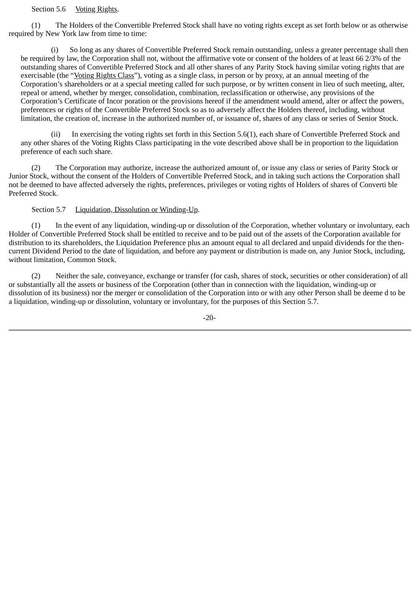#### Section 5.6 Voting Rights.

 (1) The Holders of the Convertible Preferred Stock shall have no voting rights except as set forth below or as otherwise required by New York law from time to time:

 (i) So long as any shares of Convertible Preferred Stock remain outstanding, unless a greater percentage shall then be required by law, the Corporation shall not, without the affirmative vote or consent of the holders of at least 66 2/3% of the outstanding shares of Convertible Preferred Stock and all other shares of any Parity Stock having similar voting rights that are exercisable (the "Voting Rights Class"), voting as a single class, in person or by proxy, at an annual meeting of the Corporation's shareholders or at a special meeting called for such purpose, or by written consent in lieu of such meeting, alter, repeal or amend, whether by merger, consolidation, combination, reclassification or otherwise, any provisions of the Corporation's Certificate of Incor poration or the provisions hereof if the amendment would amend, alter or affect the powers, preferences or rights of the Convertible Preferred Stock so as to adversely affect the Holders thereof, including, without limitation, the creation of, increase in the authorized number of, or issuance of, shares of any class or series of Senior Stock.

 (ii) In exercising the voting rights set forth in this Section 5.6(1), each share of Convertible Preferred Stock and any other shares of the Voting Rights Class participating in the vote described above shall be in proportion to the liquidation preference of each such share.

 (2) The Corporation may authorize, increase the authorized amount of, or issue any class or series of Parity Stock or Junior Stock, without the consent of the Holders of Convertible Preferred Stock, and in taking such actions the Corporation shall not be deemed to have affected adversely the rights, preferences, privileges or voting rights of Holders of shares of Converti ble Preferred Stock.

#### Section 5.7 Liquidation, Dissolution or Winding-Up.

 (1) In the event of any liquidation, winding-up or dissolution of the Corporation, whether voluntary or involuntary, each Holder of Convertible Preferred Stock shall be entitled to receive and to be paid out of the assets of the Corporation available for distribution to its shareholders, the Liquidation Preference plus an amount equal to all declared and unpaid dividends for the thencurrent Dividend Period to the date of liquidation, and before any payment or distribution is made on, any Junior Stock, including, without limitation, Common Stock.

 (2) Neither the sale, conveyance, exchange or transfer (for cash, shares of stock, securities or other consideration) of all or substantially all the assets or business of the Corporation (other than in connection with the liquidation, winding-up or dissolution of its business) nor the merger or consolidation of the Corporation into or with any other Person shall be deeme d to be a liquidation, winding-up or dissolution, voluntary or involuntary, for the purposes of this Section 5.7.

-20-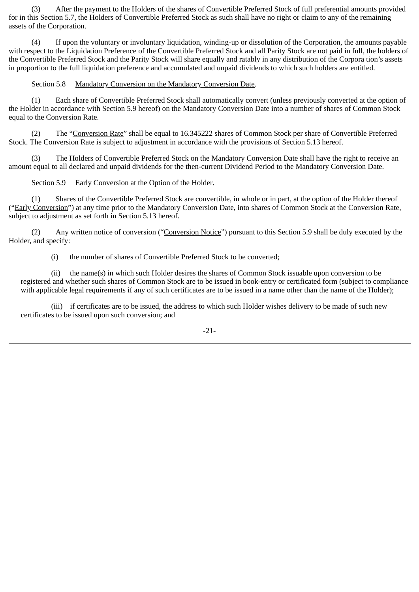(3) After the payment to the Holders of the shares of Convertible Preferred Stock of full preferential amounts provided for in this Section 5.7, the Holders of Convertible Preferred Stock as such shall have no right or claim to any of the remaining assets of the Corporation.

 (4) If upon the voluntary or involuntary liquidation, winding-up or dissolution of the Corporation, the amounts payable with respect to the Liquidation Preference of the Convertible Preferred Stock and all Parity Stock are not paid in full, the holders of the Convertible Preferred Stock and the Parity Stock will share equally and ratably in any distribution of the Corpora tion's assets in proportion to the full liquidation preference and accumulated and unpaid dividends to which such holders are entitled.

#### Section 5.8 Mandatory Conversion on the Mandatory Conversion Date.

 (1) Each share of Convertible Preferred Stock shall automatically convert (unless previously converted at the option of the Holder in accordance with Section 5.9 hereof) on the Mandatory Conversion Date into a number of shares of Common Stock equal to the Conversion Rate.

 (2) The "Conversion Rate" shall be equal to 16.345222 shares of Common Stock per share of Convertible Preferred Stock. The Conversion Rate is subject to adjustment in accordance with the provisions of Section 5.13 hereof.

 (3) The Holders of Convertible Preferred Stock on the Mandatory Conversion Date shall have the right to receive an amount equal to all declared and unpaid dividends for the then-current Dividend Period to the Mandatory Conversion Date.

#### Section 5.9 Early Conversion at the Option of the Holder.

 (1) Shares of the Convertible Preferred Stock are convertible, in whole or in part, at the option of the Holder thereof ("Early Conversion") at any time prior to the Mandatory Conversion Date, into shares of Common Stock at the Conversion Rate, subject to adjustment as set forth in Section 5.13 hereof.

 (2) Any written notice of conversion ("Conversion Notice") pursuant to this Section 5.9 shall be duly executed by the Holder, and specify:

(i) the number of shares of Convertible Preferred Stock to be converted;

 (ii) the name(s) in which such Holder desires the shares of Common Stock issuable upon conversion to be registered and whether such shares of Common Stock are to be issued in book-entry or certificated form (subject to compliance with applicable legal requirements if any of such certificates are to be issued in a name other than the name of the Holder);

 (iii) if certificates are to be issued, the address to which such Holder wishes delivery to be made of such new certificates to be issued upon such conversion; and

-21-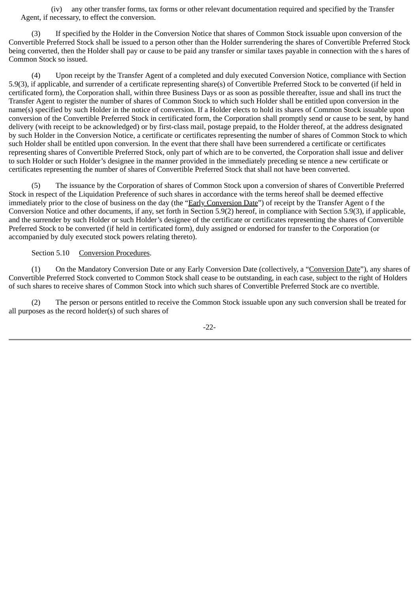(iv) any other transfer forms, tax forms or other relevant documentation required and specified by the Transfer Agent, if necessary, to effect the conversion.

 (3) If specified by the Holder in the Conversion Notice that shares of Common Stock issuable upon conversion of the Convertible Preferred Stock shall be issued to a person other than the Holder surrendering the shares of Convertible Preferred Stock being converted, then the Holder shall pay or cause to be paid any transfer or similar taxes payable in connection with the s hares of Common Stock so issued.

 (4) Upon receipt by the Transfer Agent of a completed and duly executed Conversion Notice, compliance with Section 5.9(3), if applicable, and surrender of a certificate representing share(s) of Convertible Preferred Stock to be converted (if held in certificated form), the Corporation shall, within three Business Days or as soon as possible thereafter, issue and shall ins truct the Transfer Agent to register the number of shares of Common Stock to which such Holder shall be entitled upon conversion in the name(s) specified by such Holder in the notice of conversion. If a Holder elects to hold its shares of Common Stock issuable upon conversion of the Convertible Preferred Stock in certificated form, the Corporation shall promptly send or cause to be sent, by hand delivery (with receipt to be acknowledged) or by first-class mail, postage prepaid, to the Holder thereof, at the address designated by such Holder in the Conversion Notice, a certificate or certificates representing the number of shares of Common Stock to which such Holder shall be entitled upon conversion. In the event that there shall have been surrendered a certificate or certificates representing shares of Convertible Preferred Stock, only part of which are to be converted, the Corporation shall issue and deliver to such Holder or such Holder's designee in the manner provided in the immediately preceding se ntence a new certificate or certificates representing the number of shares of Convertible Preferred Stock that shall not have been converted.

 (5) The issuance by the Corporation of shares of Common Stock upon a conversion of shares of Convertible Preferred Stock in respect of the Liquidation Preference of such shares in accordance with the terms hereof shall be deemed effective immediately prior to the close of business on the day (the "Early Conversion Date") of receipt by the Transfer Agent o f the Conversion Notice and other documents, if any, set forth in Section 5.9(2) hereof, in compliance with Section 5.9(3), if applicable, and the surrender by such Holder or such Holder's designee of the certificate or certificates representing the shares of Convertible Preferred Stock to be converted (if held in certificated form), duly assigned or endorsed for transfer to the Corporation (or accompanied by duly executed stock powers relating thereto).

#### Section 5.10 Conversion Procedures.

 (1) On the Mandatory Conversion Date or any Early Conversion Date (collectively, a "Conversion Date"), any shares of Convertible Preferred Stock converted to Common Stock shall cease to be outstanding, in each case, subject to the right of Holders of such shares to receive shares of Common Stock into which such shares of Convertible Preferred Stock are co nvertible.

 (2) The person or persons entitled to receive the Common Stock issuable upon any such conversion shall be treated for all purposes as the record holder(s) of such shares of

-22-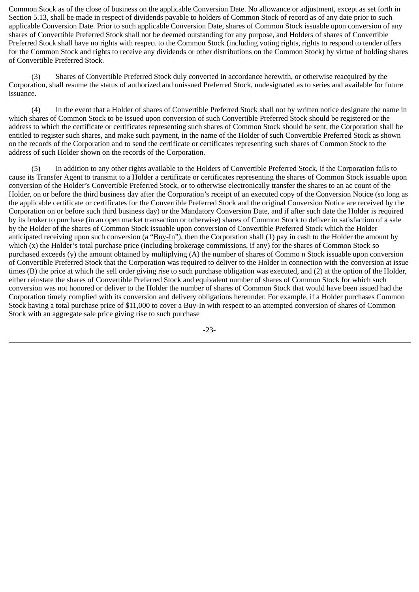Common Stock as of the close of business on the applicable Conversion Date. No allowance or adjustment, except as set forth in Section 5.13, shall be made in respect of dividends payable to holders of Common Stock of record as of any date prior to such applicable Conversion Date. Prior to such applicable Conversion Date, shares of Common Stock issuable upon conversion of any shares of Convertible Preferred Stock shall not be deemed outstanding for any purpose, and Holders of shares of Convertible Preferred Stock shall have no rights with respect to the Common Stock (including voting rights, rights to respond to tender offers for the Common Stock and rights to receive any dividends or other distributions on the Common Stock) by virtue of holding shares of Convertible Preferred Stock.

 (3) Shares of Convertible Preferred Stock duly converted in accordance herewith, or otherwise reacquired by the Corporation, shall resume the status of authorized and unissued Preferred Stock, undesignated as to series and available for future issuance.

 (4) In the event that a Holder of shares of Convertible Preferred Stock shall not by written notice designate the name in which shares of Common Stock to be issued upon conversion of such Convertible Preferred Stock should be registered or the address to which the certificate or certificates representing such shares of Common Stock should be sent, the Corporation shall be entitled to register such shares, and make such payment, in the name of the Holder of such Convertible Preferred Stock as shown on the records of the Corporation and to send the certificate or certificates representing such shares of Common Stock to the address of such Holder shown on the records of the Corporation.

 (5) In addition to any other rights available to the Holders of Convertible Preferred Stock, if the Corporation fails to cause its Transfer Agent to transmit to a Holder a certificate or certificates representing the shares of Common Stock issuable upon conversion of the Holder's Convertible Preferred Stock, or to otherwise electronically transfer the shares to an ac count of the Holder, on or before the third business day after the Corporation's receipt of an executed copy of the Conversion Notice (so long as the applicable certificate or certificates for the Convertible Preferred Stock and the original Conversion Notice are received by the Corporation on or before such third business day) or the Mandatory Conversion Date, and if after such date the Holder is required by its broker to purchase (in an open market transaction or otherwise) shares of Common Stock to deliver in satisfaction of a sale by the Holder of the shares of Common Stock issuable upon conversion of Convertible Preferred Stock which the Holder anticipated receiving upon such conversion (a "Buy-In"), then the Corporation shall  $(1)$  pay in cash to the Holder the amount by which (x) the Holder's total purchase price (including brokerage commissions, if any) for the shares of Common Stock so purchased exceeds (y) the amount obtained by multiplying (A) the number of shares of Commo n Stock issuable upon conversion of Convertible Preferred Stock that the Corporation was required to deliver to the Holder in connection with the conversion at issue times (B) the price at which the sell order giving rise to such purchase obligation was executed, and (2) at the option of the Holder, either reinstate the shares of Convertible Preferred Stock and equivalent number of shares of Common Stock for which such conversion was not honored or deliver to the Holder the number of shares of Common Stock that would have been issued had the Corporation timely complied with its conversion and delivery obligations hereunder. For example, if a Holder purchases Common Stock having a total purchase price of \$11,000 to cover a Buy-In with respect to an attempted conversion of shares of Common Stock with an aggregate sale price giving rise to such purchase

-23-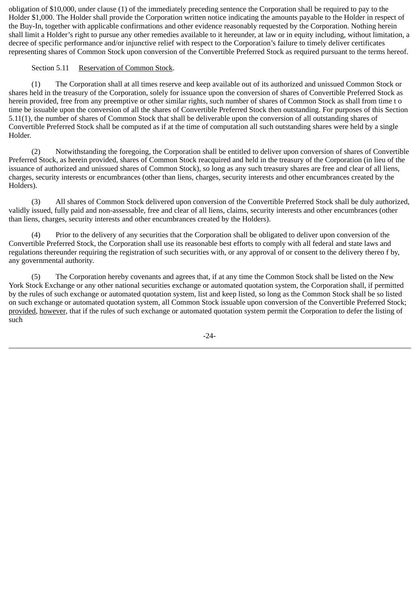obligation of \$10,000, under clause (1) of the immediately preceding sentence the Corporation shall be required to pay to the Holder \$1,000. The Holder shall provide the Corporation written notice indicating the amounts payable to the Holder in respect of the Buy-In, together with applicable confirmations and other evidence reasonably requested by the Corporation. Nothing herein shall limit a Holder's right to pursue any other remedies available to it hereunder, at law or in equity including, without limitation, a decree of specific performance and/or injunctive relief with respect to the Corporation's failure to timely deliver certificates representing shares of Common Stock upon conversion of the Convertible Preferred Stock as required pursuant to the terms hereof.

#### Section 5.11 Reservation of Common Stock.

 (1) The Corporation shall at all times reserve and keep available out of its authorized and unissued Common Stock or shares held in the treasury of the Corporation, solely for issuance upon the conversion of shares of Convertible Preferred Stock as herein provided, free from any preemptive or other similar rights, such number of shares of Common Stock as shall from time t o time be issuable upon the conversion of all the shares of Convertible Preferred Stock then outstanding. For purposes of this Section 5.11(1), the number of shares of Common Stock that shall be deliverable upon the conversion of all outstanding shares of Convertible Preferred Stock shall be computed as if at the time of computation all such outstanding shares were held by a single Holder.

 (2) Notwithstanding the foregoing, the Corporation shall be entitled to deliver upon conversion of shares of Convertible Preferred Stock, as herein provided, shares of Common Stock reacquired and held in the treasury of the Corporation (in lieu of the issuance of authorized and unissued shares of Common Stock), so long as any such treasury shares are free and clear of all liens, charges, security interests or encumbrances (other than liens, charges, security interests and other encumbrances created by the Holders).

 (3) All shares of Common Stock delivered upon conversion of the Convertible Preferred Stock shall be duly authorized, validly issued, fully paid and non-assessable, free and clear of all liens, claims, security interests and other encumbrances (other than liens, charges, security interests and other encumbrances created by the Holders).

 (4) Prior to the delivery of any securities that the Corporation shall be obligated to deliver upon conversion of the Convertible Preferred Stock, the Corporation shall use its reasonable best efforts to comply with all federal and state laws and regulations thereunder requiring the registration of such securities with, or any approval of or consent to the delivery thereo f by, any governmental authority.

 (5) The Corporation hereby covenants and agrees that, if at any time the Common Stock shall be listed on the New York Stock Exchange or any other national securities exchange or automated quotation system, the Corporation shall, if permitted by the rules of such exchange or automated quotation system, list and keep listed, so long as the Common Stock shall be so listed on such exchange or automated quotation system, all Common Stock issuable upon conversion of the Convertible Preferred Stock; provided, however, that if the rules of such exchange or automated quotation system permit the Corporation to defer the listing of such

-24-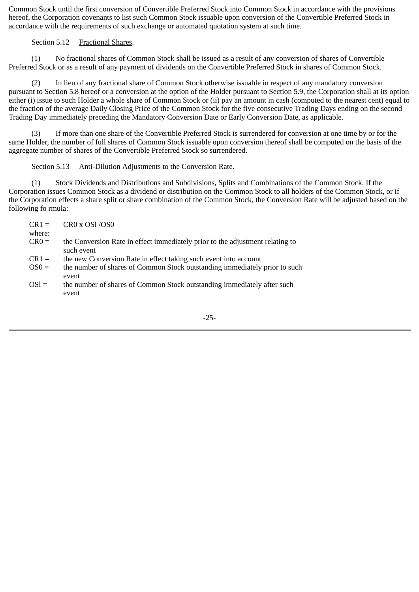Common Stock until the first conversion of Convertible Preferred Stock into Common Stock in accordance with the provisions hereof, the Corporation covenants to list such Common Stock issuable upon conversion of the Convertible Preferred Stock in accordance with the requirements of such exchange or automated quotation system at such time.

#### Section 5.12 Fractional Shares.

 (1) No fractional shares of Common Stock shall be issued as a result of any conversion of shares of Convertible Preferred Stock or as a result of any payment of dividends on the Convertible Preferred Stock in shares of Common Stock.

 (2) In lieu of any fractional share of Common Stock otherwise issuable in respect of any mandatory conversion pursuant to Section 5.8 hereof or a conversion at the option of the Holder pursuant to Section 5.9, the Corporation shall at its option either (i) issue to such Holder a whole share of Common Stock or (ii) pay an amount in cash (computed to the nearest cent) equal to the fraction of the average Daily Closing Price of the Common Stock for the five consecutive Trading Days ending on the second Trading Day immediately preceding the Mandatory Conversion Date or Early Conversion Date, as applicable.

 (3) If more than one share of the Convertible Preferred Stock is surrendered for conversion at one time by or for the same Holder, the number of full shares of Common Stock issuable upon conversion thereof shall be computed on the basis of the aggregate number of shares of the Convertible Preferred Stock so surrendered.

#### Section 5.13 Anti-Dilution Adjustments to the Conversion Rate.

 (1) Stock Dividends and Distributions and Subdivisions, Splits and Combinations of the Common Stock. If the Corporation issues Common Stock as a dividend or distribution on the Common Stock to all holders of the Common Stock, or if the Corporation effects a share split or share combination of the Common Stock, the Conversion Rate will be adjusted based on the following fo rmula:

| $CR1 =$ | $CR0 \times OS1 / OS0$                                                              |
|---------|-------------------------------------------------------------------------------------|
| where:  |                                                                                     |
| $CR0 =$ | the Conversion Rate in effect immediately prior to the adjustment relating to       |
|         | such event                                                                          |
| $CR1 =$ | the new Conversion Rate in effect taking such event into account                    |
| $OS0 =$ | the number of shares of Common Stock outstanding immediately prior to such<br>event |
| $OSl =$ | the number of shares of Common Stock outstanding immediately after such<br>event    |

-25-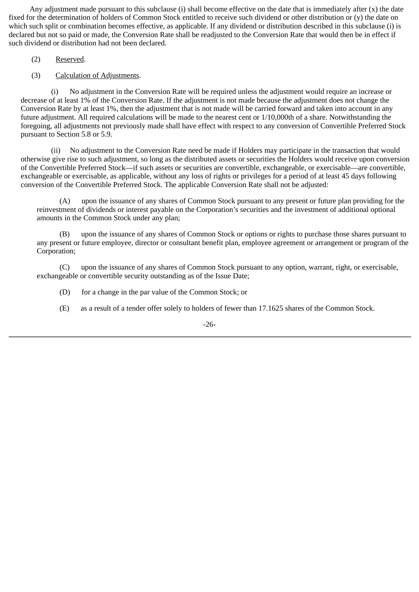Any adjustment made pursuant to this subclause (i) shall become effective on the date that is immediately after (x) the date fixed for the determination of holders of Common Stock entitled to receive such dividend or other distribution or (y) the date on which such split or combination becomes effective, as applicable. If any dividend or distribution described in this subclause (i) is declared but not so paid or made, the Conversion Rate shall be readjusted to the Conversion Rate that would then be in effect if such dividend or distribution had not been declared.

(2) Reserved.

(3) Calculation of Adjustments.

 (i) No adjustment in the Conversion Rate will be required unless the adjustment would require an increase or decrease of at least 1% of the Conversion Rate. If the adjustment is not made because the adjustment does not change the Conversion Rate by at least 1%, then the adjustment that is not made will be carried forward and taken into account in any future adjustment. All required calculations will be made to the nearest cent or 1/10,000th of a share. Notwithstanding the foregoing, all adjustments not previously made shall have effect with respect to any conversion of Convertible Preferred Stock pursuant to Section 5.8 or 5.9.

 (ii) No adjustment to the Conversion Rate need be made if Holders may participate in the transaction that would otherwise give rise to such adjustment, so long as the distributed assets or securities the Holders would receive upon conversion of the Convertible Preferred Stock—if such assets or securities are convertible, exchangeable, or exercisable—are convertible, exchangeable or exercisable, as applicable, without any loss of rights or privileges for a period of at least 45 days following conversion of the Convertible Preferred Stock. The applicable Conversion Rate shall not be adjusted:

 (A) upon the issuance of any shares of Common Stock pursuant to any present or future plan providing for the reinvestment of dividends or interest payable on the Corporation's securities and the investment of additional optional amounts in the Common Stock under any plan;

 (B) upon the issuance of any shares of Common Stock or options or rights to purchase those shares pursuant to any present or future employee, director or consultant benefit plan, employee agreement or arrangement or program of the Corporation;

 (C) upon the issuance of any shares of Common Stock pursuant to any option, warrant, right, or exercisable, exchangeable or convertible security outstanding as of the Issue Date;

- (D) for a change in the par value of the Common Stock; or
- (E) as a result of a tender offer solely to holders of fewer than 17.1625 shares of the Common Stock.

-26-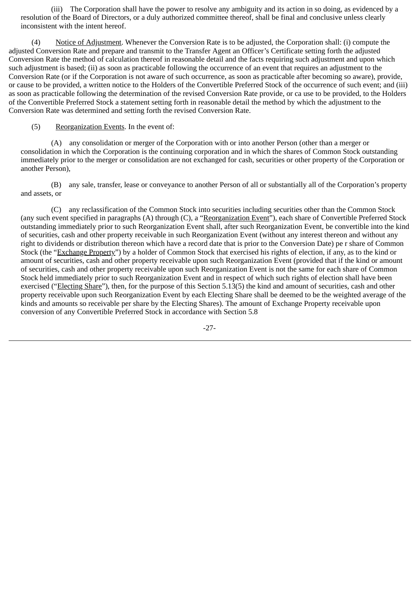(iii) The Corporation shall have the power to resolve any ambiguity and its action in so doing, as evidenced by a resolution of the Board of Directors, or a duly authorized committee thereof, shall be final and conclusive unless clearly inconsistent with the intent hereof.

(4) Notice of Adjustment. Whenever the Conversion Rate is to be adjusted, the Corporation shall: (i) compute the adjusted Conversion Rate and prepare and transmit to the Transfer Agent an Officer's Certificate setting forth the adjusted Conversion Rate the method of calculation thereof in reasonable detail and the facts requiring such adjustment and upon which such adjustment is based; (ii) as soon as practicable following the occurrence of an event that requires an adjustment to the Conversion Rate (or if the Corporation is not aware of such occurrence, as soon as practicable after becoming so aware), provide, or cause to be provided, a written notice to the Holders of the Convertible Preferred Stock of the occurrence of such event; and (iii) as soon as practicable following the determination of the revised Conversion Rate provide, or ca use to be provided, to the Holders of the Convertible Preferred Stock a statement setting forth in reasonable detail the method by which the adjustment to the Conversion Rate was determined and setting forth the revised Conversion Rate.

(5) Reorganization Events. In the event of:

 (A) any consolidation or merger of the Corporation with or into another Person (other than a merger or consolidation in which the Corporation is the continuing corporation and in which the shares of Common Stock outstanding immediately prior to the merger or consolidation are not exchanged for cash, securities or other property of the Corporation or another Person),

 (B) any sale, transfer, lease or conveyance to another Person of all or substantially all of the Corporation's property and assets, or

 (C) any reclassification of the Common Stock into securities including securities other than the Common Stock (any such event specified in paragraphs (A) through (C), a "Reorganization Event"), each share of Convertible Preferred Stock outstanding immediately prior to such Reorganization Event shall, after such Reorganization Event, be convertible into the kind of securities, cash and other property receivable in such Reorganization Event (without any interest thereon and without any right to dividends or distribution thereon which have a record date that is prior to the Conversion Date) pe r share of Common Stock (the "Exchange Property") by a holder of Common Stock that exercised his rights of election, if any, as to the kind or amount of securities, cash and other property receivable upon such Reorganization Event (provided that if the kind or amount of securities, cash and other property receivable upon such Reorganization Event is not the same for each share of Common Stock held immediately prior to such Reorganization Event and in respect of which such rights of election shall have been exercised ("Electing Share"), then, for the purpose of this Section 5.13(5) the kind and amount of securities, cash and other property receivable upon such Reorganization Event by each Electing Share shall be deemed to be the weighted average of the kinds and amounts so receivable per share by the Electing Shares). The amount of Exchange Property receivable upon conversion of any Convertible Preferred Stock in accordance with Section 5.8

-27-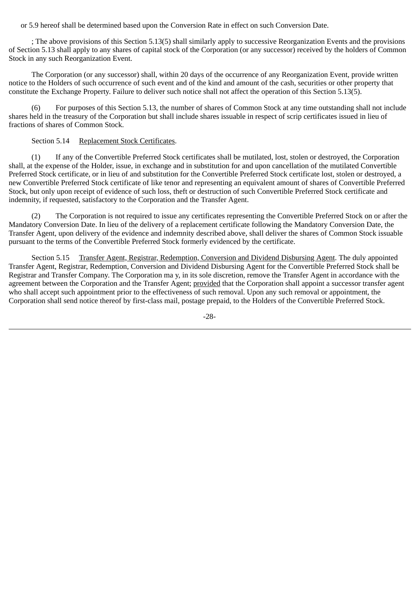or 5.9 hereof shall be determined based upon the Conversion Rate in effect on such Conversion Date.

 ; The above provisions of this Section 5.13(5) shall similarly apply to successive Reorganization Events and the provisions of Section 5.13 shall apply to any shares of capital stock of the Corporation (or any successor) received by the holders of Common Stock in any such Reorganization Event.

 The Corporation (or any successor) shall, within 20 days of the occurrence of any Reorganization Event, provide written notice to the Holders of such occurrence of such event and of the kind and amount of the cash, securities or other property that constitute the Exchange Property. Failure to deliver such notice shall not affect the operation of this Section 5.13(5).

For purposes of this Section 5.13, the number of shares of Common Stock at any time outstanding shall not include shares held in the treasury of the Corporation but shall include shares issuable in respect of scrip certificates issued in lieu of fractions of shares of Common Stock.

# Section 5.14 Replacement Stock Certificates.

 (1) If any of the Convertible Preferred Stock certificates shall be mutilated, lost, stolen or destroyed, the Corporation shall, at the expense of the Holder, issue, in exchange and in substitution for and upon cancellation of the mutilated Convertible Preferred Stock certificate, or in lieu of and substitution for the Convertible Preferred Stock certificate lost, stolen or destroyed, a new Convertible Preferred Stock certificate of like tenor and representing an equivalent amount of shares of Convertible Preferred Stock, but only upon receipt of evidence of such loss, theft or destruction of such Convertible Preferred Stock certificate and indemnity, if requested, satisfactory to the Corporation and the Transfer Agent.

 (2) The Corporation is not required to issue any certificates representing the Convertible Preferred Stock on or after the Mandatory Conversion Date. In lieu of the delivery of a replacement certificate following the Mandatory Conversion Date, the Transfer Agent, upon delivery of the evidence and indemnity described above, shall deliver the shares of Common Stock issuable pursuant to the terms of the Convertible Preferred Stock formerly evidenced by the certificate.

 Section 5.15 Transfer Agent, Registrar, Redemption, Conversion and Dividend Disbursing Agent. The duly appointed Transfer Agent, Registrar, Redemption, Conversion and Dividend Disbursing Agent for the Convertible Preferred Stock shall be Registrar and Transfer Company. The Corporation ma y, in its sole discretion, remove the Transfer Agent in accordance with the agreement between the Corporation and the Transfer Agent; provided that the Corporation shall appoint a successor transfer agent who shall accept such appointment prior to the effectiveness of such removal. Upon any such removal or appointment, the Corporation shall send notice thereof by first-class mail, postage prepaid, to the Holders of the Convertible Preferred Stock.

-28-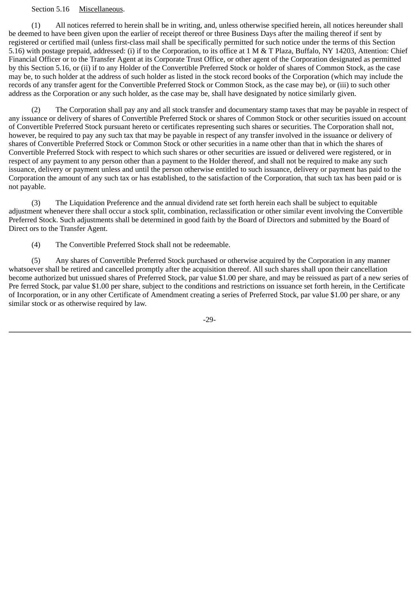#### Section 5.16 Miscellaneous.

 (1) All notices referred to herein shall be in writing, and, unless otherwise specified herein, all notices hereunder shall be deemed to have been given upon the earlier of receipt thereof or three Business Days after the mailing thereof if sent by registered or certified mail (unless first-class mail shall be specifically permitted for such notice under the terms of this Section 5.16) with postage prepaid, addressed: (i) if to the Corporation, to its office at 1 M & T Plaza, Buffalo, NY 14203, Attention: Chief Financial Officer or to the Transfer Agent at its Corporate Trust Office, or other agent of the Corporation designated as permitted by this Section 5.16, or (ii) if to any Holder of the Convertible Preferred Stock or holder of shares of Common Stock, as the case may be, to such holder at the address of such holder as listed in the stock record books of the Corporation (which may include the records of any transfer agent for the Convertible Preferred Stock or Common Stock, as the case may be), or (iii) to such other address as the Corporation or any such holder, as the case may be, shall have designated by notice similarly given.

 (2) The Corporation shall pay any and all stock transfer and documentary stamp taxes that may be payable in respect of any issuance or delivery of shares of Convertible Preferred Stock or shares of Common Stock or other securities issued on account of Convertible Preferred Stock pursuant hereto or certificates representing such shares or securities. The Corporation shall not, however, be required to pay any such tax that may be payable in respect of any transfer involved in the issuance or delivery of shares of Convertible Preferred Stock or Common Stock or other securities in a name other than that in which the shares of Convertible Preferred Stock with respect to which such shares or other securities are issued or delivered were registered, or in respect of any payment to any person other than a payment to the Holder thereof, and shall not be required to make any such issuance, delivery or payment unless and until the person otherwise entitled to such issuance, delivery or payment has paid to the Corporation the amount of any such tax or has established, to the satisfaction of the Corporation, that such tax has been paid or is not payable.

 (3) The Liquidation Preference and the annual dividend rate set forth herein each shall be subject to equitable adjustment whenever there shall occur a stock split, combination, reclassification or other similar event involving the Convertible Preferred Stock. Such adjustments shall be determined in good faith by the Board of Directors and submitted by the Board of Direct ors to the Transfer Agent.

(4) The Convertible Preferred Stock shall not be redeemable.

 (5) Any shares of Convertible Preferred Stock purchased or otherwise acquired by the Corporation in any manner whatsoever shall be retired and cancelled promptly after the acquisition thereof. All such shares shall upon their cancellation become authorized but unissued shares of Preferred Stock, par value \$1.00 per share, and may be reissued as part of a new series of Pre ferred Stock, par value \$1.00 per share, subject to the conditions and restrictions on issuance set forth herein, in the Certificate of Incorporation, or in any other Certificate of Amendment creating a series of Preferred Stock, par value \$1.00 per share, or any similar stock or as otherwise required by law.

-29-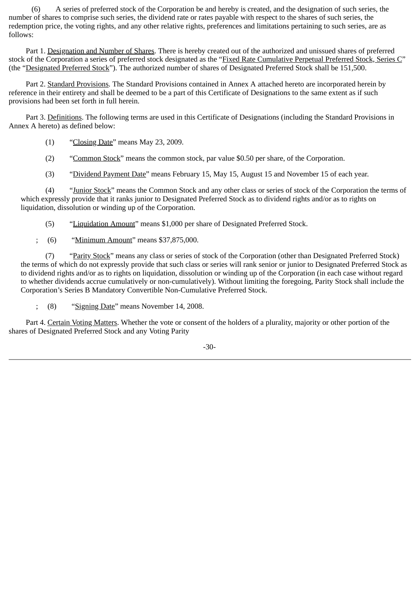(6) A series of preferred stock of the Corporation be and hereby is created, and the designation of such series, the number of shares to comprise such series, the dividend rate or rates payable with respect to the shares of such series, the redemption price, the voting rights, and any other relative rights, preferences and limitations pertaining to such series, are as follows:

 Part 1. Designation and Number of Shares. There is hereby created out of the authorized and unissued shares of preferred stock of the Corporation a series of preferred stock designated as the "Fixed Rate Cumulative Perpetual Preferred Stock, Series C" (the "Designated Preferred Stock"). The authorized number of shares of Designated Preferred Stock shall be 151,500.

 Part 2. Standard Provisions. The Standard Provisions contained in Annex A attached hereto are incorporated herein by reference in their entirety and shall be deemed to be a part of this Certificate of Designations to the same extent as if such provisions had been set forth in full herein.

 Part 3. Definitions. The following terms are used in this Certificate of Designations (including the Standard Provisions in Annex A hereto) as defined below:

- $(1)$  "Closing Date" means May 23, 2009.
- (2) "Common Stock" means the common stock, par value \$0.50 per share, of the Corporation.
- (3) "Dividend Payment Date" means February 15, May 15, August 15 and November 15 of each year.

 (4) "Junior Stock" means the Common Stock and any other class or series of stock of the Corporation the terms of which expressly provide that it ranks junior to Designated Preferred Stock as to dividend rights and/or as to rights on liquidation, dissolution or winding up of the Corporation.

(5) "Liquidation Amount" means \$1,000 per share of Designated Preferred Stock.

; (6) "Minimum Amount" means \$37,875,000.

 (7) "Parity Stock" means any class or series of stock of the Corporation (other than Designated Preferred Stock) the terms of which do not expressly provide that such class or series will rank senior or junior to Designated Preferred Stock as to dividend rights and/or as to rights on liquidation, dissolution or winding up of the Corporation (in each case without regard to whether dividends accrue cumulatively or non-cumulatively). Without limiting the foregoing, Parity Stock shall include the Corporation's Series B Mandatory Convertible Non-Cumulative Preferred Stock.

; (8) "Signing Date" means November 14, 2008.

 Part 4. Certain Voting Matters. Whether the vote or consent of the holders of a plurality, majority or other portion of the shares of Designated Preferred Stock and any Voting Parity

-30-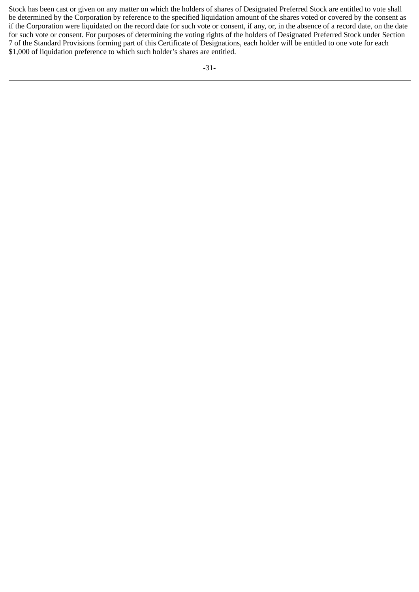Stock has been cast or given on any matter on which the holders of shares of Designated Preferred Stock are entitled to vote shall be determined by the Corporation by reference to the specified liquidation amount of the shares voted or covered by the consent as if the Corporation were liquidated on the record date for such vote or consent, if any, or, in the absence of a record date, on the date for such vote or consent. For purposes of determining the voting rights of the holders of Designated Preferred Stock under Section 7 of the Standard Provisions forming part of this Certificate of Designations, each holder will be entitled to one vote for each \$1,000 of liquidation preference to which such holder's shares are entitled.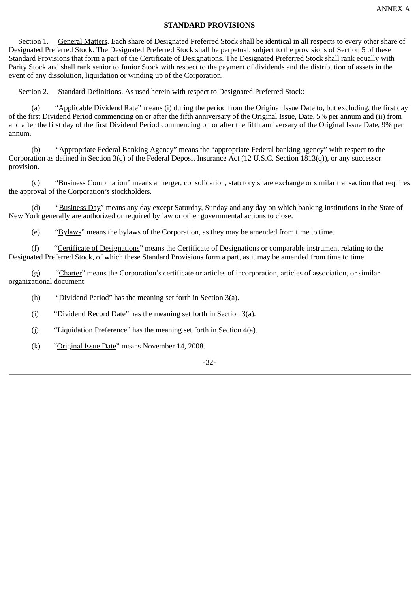#### **STANDARD PROVISIONS**

 Section 1. General Matters. Each share of Designated Preferred Stock shall be identical in all respects to every other share of Designated Preferred Stock. The Designated Preferred Stock shall be perpetual, subject to the provisions of Section 5 of these Standard Provisions that form a part of the Certificate of Designations. The Designated Preferred Stock shall rank equally with Parity Stock and shall rank senior to Junior Stock with respect to the payment of dividends and the distribution of assets in the event of any dissolution, liquidation or winding up of the Corporation.

Section 2. Standard Definitions. As used herein with respect to Designated Preferred Stock:

 (a) "Applicable Dividend Rate" means (i) during the period from the Original Issue Date to, but excluding, the first day of the first Dividend Period commencing on or after the fifth anniversary of the Original Issue, Date, 5% per annum and (ii) from and after the first day of the first Dividend Period commencing on or after the fifth anniversary of the Original Issue Date, 9% per annum.

 (b) "Appropriate Federal Banking Agency" means the "appropriate Federal banking agency" with respect to the Corporation as defined in Section 3(q) of the Federal Deposit Insurance Act (12 U.S.C. Section 1813(q)), or any successor provision.

 (c) "Business Combination" means a merger, consolidation, statutory share exchange or similar transaction that requires the approval of the Corporation's stockholders.

 (d) "Business Day" means any day except Saturday, Sunday and any day on which banking institutions in the State of New York generally are authorized or required by law or other governmental actions to close.

(e) "Bylaws" means the bylaws of the Corporation, as they may be amended from time to time.

 (f) "Certificate of Designations" means the Certificate of Designations or comparable instrument relating to the Designated Preferred Stock, of which these Standard Provisions form a part, as it may be amended from time to time.

 (g) "Charter" means the Corporation's certificate or articles of incorporation, articles of association, or similar organizational document.

(h) "Dividend Period" has the meaning set forth in Section 3(a).

(i) "Dividend Record Date" has the meaning set forth in Section 3(a).

- (j) "Liquidation Preference" has the meaning set forth in Section 4(a).
- (k) "Original Issue Date" means November 14, 2008.

#### -32-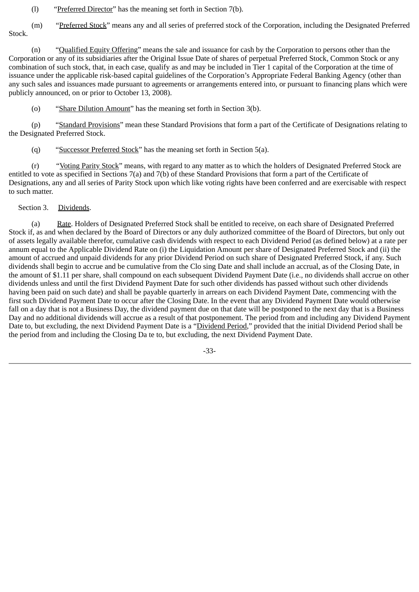(l) "Preferred Director" has the meaning set forth in Section 7(b).

(m) "Preferred Stock" means any and all series of preferred stock of the Corporation, including the Designated Preferred Stock.

 (n) "Qualified Equity Offering" means the sale and issuance for cash by the Corporation to persons other than the Corporation or any of its subsidiaries after the Original Issue Date of shares of perpetual Preferred Stock, Common Stock or any combination of such stock, that, in each case, qualify as and may be included in Tier 1 capital of the Corporation at the time of issuance under the applicable risk-based capital guidelines of the Corporation's Appropriate Federal Banking Agency (other than any such sales and issuances made pursuant to agreements or arrangements entered into, or pursuant to financing plans which were publicly announced, on or prior to October 13, 2008).

(o) "Share Dilution Amount" has the meaning set forth in Section 3(b).

 (p) "Standard Provisions" mean these Standard Provisions that form a part of the Certificate of Designations relating to the Designated Preferred Stock.

(q) "Successor Preferred Stock" has the meaning set forth in Section 5(a).

 (r) "Voting Parity Stock" means, with regard to any matter as to which the holders of Designated Preferred Stock are entitled to vote as specified in Sections 7(a) and 7(b) of these Standard Provisions that form a part of the Certificate of Designations, any and all series of Parity Stock upon which like voting rights have been conferred and are exercisable with respect to such matter.

Section 3. Dividends.

 (a) Rate. Holders of Designated Preferred Stock shall be entitled to receive, on each share of Designated Preferred Stock if, as and when declared by the Board of Directors or any duly authorized committee of the Board of Directors, but only out of assets legally available therefor, cumulative cash dividends with respect to each Dividend Period (as defined below) at a rate per annum equal to the Applicable Dividend Rate on (i) the Liquidation Amount per share of Designated Preferred Stock and (ii) the amount of accrued and unpaid dividends for any prior Dividend Period on such share of Designated Preferred Stock, if any. Such dividends shall begin to accrue and be cumulative from the Clo sing Date and shall include an accrual, as of the Closing Date, in the amount of \$1.11 per share, shall compound on each subsequent Dividend Payment Date (i.e., no dividends shall accrue on other dividends unless and until the first Dividend Payment Date for such other dividends has passed without such other dividends having been paid on such date) and shall be payable quarterly in arrears on each Dividend Payment Date, commencing with the first such Dividend Payment Date to occur after the Closing Date. In the event that any Dividend Payment Date would otherwise fall on a day that is not a Business Day, the dividend payment due on that date will be postponed to the next day that is a Business Day and no additional dividends will accrue as a result of that postponement. The period from and including any Dividend Payment Date to, but excluding, the next Dividend Payment Date is a "Dividend Period," provided that the initial Dividend Period shall be the period from and including the Closing Da te to, but excluding, the next Dividend Payment Date.

-33-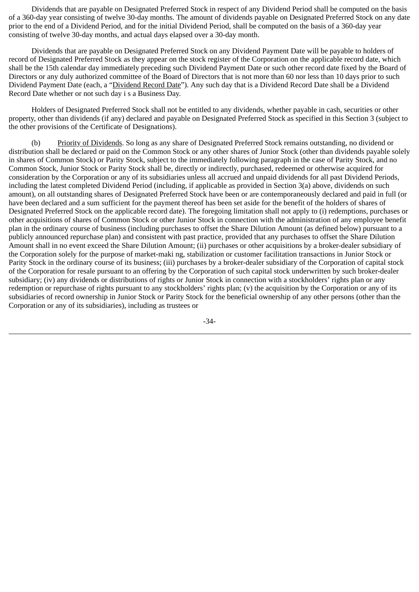Dividends that are payable on Designated Preferred Stock in respect of any Dividend Period shall be computed on the basis of a 360-day year consisting of twelve 30-day months. The amount of dividends payable on Designated Preferred Stock on any date prior to the end of a Dividend Period, and for the initial Dividend Period, shall be computed on the basis of a 360-day year consisting of twelve 30-day months, and actual days elapsed over a 30-day month.

 Dividends that are payable on Designated Preferred Stock on any Dividend Payment Date will be payable to holders of record of Designated Preferred Stock as they appear on the stock register of the Corporation on the applicable record date, which shall be the 15th calendar day immediately preceding such Dividend Payment Date or such other record date fixed by the Board of Directors or any duly authorized committee of the Board of Directors that is not more than 60 nor less than 10 days prior to such Dividend Payment Date (each, a "Dividend Record Date"). Any such day that is a Dividend Record Date shall be a Dividend Record Date whether or not such day i s a Business Day.

 Holders of Designated Preferred Stock shall not be entitled to any dividends, whether payable in cash, securities or other property, other than dividends (if any) declared and payable on Designated Preferred Stock as specified in this Section 3 (subject to the other provisions of the Certificate of Designations).

 (b) Priority of Dividends. So long as any share of Designated Preferred Stock remains outstanding, no dividend or distribution shall be declared or paid on the Common Stock or any other shares of Junior Stock (other than dividends payable solely in shares of Common Stock) or Parity Stock, subject to the immediately following paragraph in the case of Parity Stock, and no Common Stock, Junior Stock or Parity Stock shall be, directly or indirectly, purchased, redeemed or otherwise acquired for consideration by the Corporation or any of its subsidiaries unless all accrued and unpaid dividends for all past Dividend Periods, including the latest completed Dividend Period (including, if applicable as provided in Section 3(a) above, dividends on such amount), on all outstanding shares of Designated Preferred Stock have been or are contemporaneously declared and paid in full (or have been declared and a sum sufficient for the payment thereof has been set aside for the benefit of the holders of shares of Designated Preferred Stock on the applicable record date). The foregoing limitation shall not apply to (i) redemptions, purchases or other acquisitions of shares of Common Stock or other Junior Stock in connection with the administration of any employee benefit plan in the ordinary course of business (including purchases to offset the Share Dilution Amount (as defined below) pursuant to a publicly announced repurchase plan) and consistent with past practice, provided that any purchases to offset the Share Dilution Amount shall in no event exceed the Share Dilution Amount; (ii) purchases or other acquisitions by a broker-dealer subsidiary of the Corporation solely for the purpose of market-maki ng, stabilization or customer facilitation transactions in Junior Stock or Parity Stock in the ordinary course of its business; (iii) purchases by a broker-dealer subsidiary of the Corporation of capital stock of the Corporation for resale pursuant to an offering by the Corporation of such capital stock underwritten by such broker-dealer subsidiary; (iv) any dividends or distributions of rights or Junior Stock in connection with a stockholders' rights plan or any redemption or repurchase of rights pursuant to any stockholders' rights plan; (v) the acquisition by the Corporation or any of its subsidiaries of record ownership in Junior Stock or Parity Stock for the beneficial ownership of any other persons (other than the Corporation or any of its subsidiaries), including as trustees or

-34-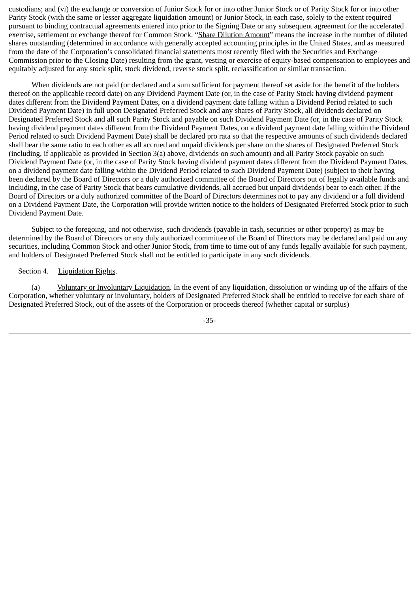custodians; and (vi) the exchange or conversion of Junior Stock for or into other Junior Stock or of Parity Stock for or into other Parity Stock (with the same or lesser aggregate liquidation amount) or Junior Stock, in each case, solely to the extent required pursuant to binding contractual agreements entered into prior to the Signing Date or any subsequent agreement for the accelerated exercise, settlement or exchange thereof for Common Stock. "Share Dilution Amount" means the increase in the number of diluted shares outstanding (determined in accordance with generally accepted accounting principles in the United States, and as measured from the date of the Corporation's consolidated financial statements most recently filed with the Securities and Exchange Commission prior to the Closing Date) resulting from the grant, vesting or exercise of equity-based compensation to employees and equitably adjusted for any stock split, stock dividend, reverse stock split, reclassification or similar transaction.

 When dividends are not paid (or declared and a sum sufficient for payment thereof set aside for the benefit of the holders thereof on the applicable record date) on any Dividend Payment Date (or, in the case of Parity Stock having dividend payment dates different from the Dividend Payment Dates, on a dividend payment date falling within a Dividend Period related to such Dividend Payment Date) in full upon Designated Preferred Stock and any shares of Parity Stock, all dividends declared on Designated Preferred Stock and all such Parity Stock and payable on such Dividend Payment Date (or, in the case of Parity Stock having dividend payment dates different from the Dividend Payment Dates, on a dividend payment date falling within the Dividend Period related to such Dividend Payment Date) shall be declared pro rata so that the respective amounts of such dividends declared shall bear the same ratio to each other as all accrued and unpaid dividends per share on the shares of Designated Preferred Stock (including, if applicable as provided in Section 3(a) above, dividends on such amount) and all Parity Stock payable on such Dividend Payment Date (or, in the case of Parity Stock having dividend payment dates different from the Dividend Payment Dates, on a dividend payment date falling within the Dividend Period related to such Dividend Payment Date) (subject to their having been declared by the Board of Directors or a duly authorized committee of the Board of Directors out of legally available funds and including, in the case of Parity Stock that bears cumulative dividends, all accrued but unpaid dividends) bear to each other. If the Board of Directors or a duly authorized committee of the Board of Directors determines not to pay any dividend or a full dividend on a Dividend Payment Date, the Corporation will provide written notice to the holders of Designated Preferred Stock prior to such Dividend Payment Date.

 Subject to the foregoing, and not otherwise, such dividends (payable in cash, securities or other property) as may be determined by the Board of Directors or any duly authorized committee of the Board of Directors may be declared and paid on any securities, including Common Stock and other Junior Stock, from time to time out of any funds legally available for such payment, and holders of Designated Preferred Stock shall not be entitled to participate in any such dividends.

#### Section 4. Liquidation Rights.

 (a) Voluntary or Involuntary Liquidation. In the event of any liquidation, dissolution or winding up of the affairs of the Corporation, whether voluntary or involuntary, holders of Designated Preferred Stock shall be entitled to receive for each share of Designated Preferred Stock, out of the assets of the Corporation or proceeds thereof (whether capital or surplus)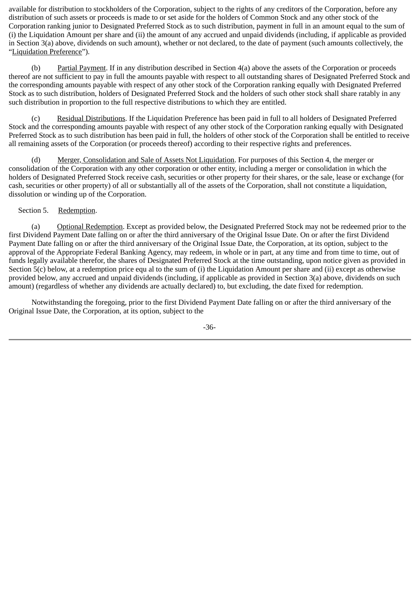available for distribution to stockholders of the Corporation, subject to the rights of any creditors of the Corporation, before any distribution of such assets or proceeds is made to or set aside for the holders of Common Stock and any other stock of the Corporation ranking junior to Designated Preferred Stock as to such distribution, payment in full in an amount equal to the sum of (i) the Liquidation Amount per share and (ii) the amount of any accrued and unpaid dividends (including, if applicable as provided in Section 3(a) above, dividends on such amount), whether or not declared, to the date of payment (such amounts collectively, the "Liquidation Preference").

 (b) Partial Payment. If in any distribution described in Section 4(a) above the assets of the Corporation or proceeds thereof are not sufficient to pay in full the amounts payable with respect to all outstanding shares of Designated Preferred Stock and the corresponding amounts payable with respect of any other stock of the Corporation ranking equally with Designated Preferred Stock as to such distribution, holders of Designated Preferred Stock and the holders of such other stock shall share ratably in any such distribution in proportion to the full respective distributions to which they are entitled.

 (c) Residual Distributions. If the Liquidation Preference has been paid in full to all holders of Designated Preferred Stock and the corresponding amounts payable with respect of any other stock of the Corporation ranking equally with Designated Preferred Stock as to such distribution has been paid in full, the holders of other stock of the Corporation shall be entitled to receive all remaining assets of the Corporation (or proceeds thereof) according to their respective rights and preferences.

 (d) Merger, Consolidation and Sale of Assets Not Liquidation. For purposes of this Section 4, the merger or consolidation of the Corporation with any other corporation or other entity, including a merger or consolidation in which the holders of Designated Preferred Stock receive cash, securities or other property for their shares, or the sale, lease or exchange (for cash, securities or other property) of all or substantially all of the assets of the Corporation, shall not constitute a liquidation, dissolution or winding up of the Corporation.

# Section 5. Redemption.

 (a) Optional Redemption. Except as provided below, the Designated Preferred Stock may not be redeemed prior to the first Dividend Payment Date falling on or after the third anniversary of the Original Issue Date. On or after the first Dividend Payment Date falling on or after the third anniversary of the Original Issue Date, the Corporation, at its option, subject to the approval of the Appropriate Federal Banking Agency, may redeem, in whole or in part, at any time and from time to time, out of funds legally available therefor, the shares of Designated Preferred Stock at the time outstanding, upon notice given as provided in Section 5(c) below, at a redemption price equ al to the sum of (i) the Liquidation Amount per share and (ii) except as otherwise provided below, any accrued and unpaid dividends (including, if applicable as provided in Section 3(a) above, dividends on such amount) (regardless of whether any dividends are actually declared) to, but excluding, the date fixed for redemption.

 Notwithstanding the foregoing, prior to the first Dividend Payment Date falling on or after the third anniversary of the Original Issue Date, the Corporation, at its option, subject to the

-36-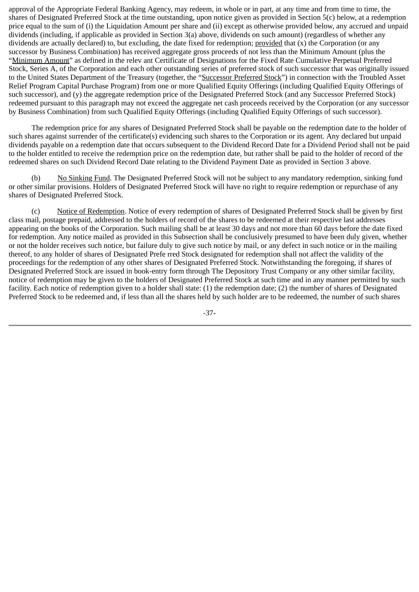approval of the Appropriate Federal Banking Agency, may redeem, in whole or in part, at any time and from time to time, the shares of Designated Preferred Stock at the time outstanding, upon notice given as provided in Section 5(c) below, at a redemption price equal to the sum of (i) the Liquidation Amount per share and (ii) except as otherwise provided below, any accrued and unpaid dividends (including, if applicable as provided in Section 3(a) above, dividends on such amount) (regardless of whether any dividends are actually declared) to, but excluding, the date fixed for redemption; provided that (x) the Corporation (or any successor by Business Combination) has received aggregate gross proceeds of not less than the Minimum Amount (plus the "Minimum Amount" as defined in the relev ant Certificate of Designations for the Fixed Rate Cumulative Perpetual Preferred Stock, Series A, of the Corporation and each other outstanding series of preferred stock of such successor that was originally issued to the United States Department of the Treasury (together, the "Successor Preferred Stock") in connection with the Troubled Asset Relief Program Capital Purchase Program) from one or more Qualified Equity Offerings (including Qualified Equity Offerings of such successor), and (y) the aggregate redemption price of the Designated Preferred Stock (and any Successor Preferred Stock) redeemed pursuant to this paragraph may not exceed the aggregate net cash proceeds received by the Corporation (or any successor by Business Combination) from such Qualified Equity Offerings (including Qualified Equity Offerings of such successor).

 The redemption price for any shares of Designated Preferred Stock shall be payable on the redemption date to the holder of such shares against surrender of the certificate(s) evidencing such shares to the Corporation or its agent. Any declared but unpaid dividends payable on a redemption date that occurs subsequent to the Dividend Record Date for a Dividend Period shall not be paid to the holder entitled to receive the redemption price on the redemption date, but rather shall be paid to the holder of record of the redeemed shares on such Dividend Record Date relating to the Dividend Payment Date as provided in Section 3 above.

(b) No Sinking Fund. The Designated Preferred Stock will not be subject to any mandatory redemption, sinking fund or other similar provisions. Holders of Designated Preferred Stock will have no right to require redemption or repurchase of any shares of Designated Preferred Stock.

 (c) Notice of Redemption. Notice of every redemption of shares of Designated Preferred Stock shall be given by first class mail, postage prepaid, addressed to the holders of record of the shares to be redeemed at their respective last addresses appearing on the books of the Corporation. Such mailing shall be at least 30 days and not more than 60 days before the date fixed for redemption. Any notice mailed as provided in this Subsection shall be conclusively presumed to have been duly given, whether or not the holder receives such notice, but failure duly to give such notice by mail, or any defect in such notice or in the mailing thereof, to any holder of shares of Designated Prefe rred Stock designated for redemption shall not affect the validity of the proceedings for the redemption of any other shares of Designated Preferred Stock. Notwithstanding the foregoing, if shares of Designated Preferred Stock are issued in book-entry form through The Depository Trust Company or any other similar facility, notice of redemption may be given to the holders of Designated Preferred Stock at such time and in any manner permitted by such facility. Each notice of redemption given to a holder shall state: (1) the redemption date; (2) the number of shares of Designated Preferred Stock to be redeemed and, if less than all the shares held by such holder are to be redeemed, the number of such shares

-37-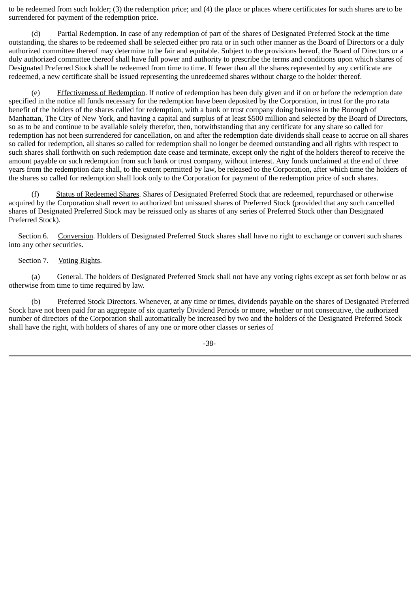to be redeemed from such holder; (3) the redemption price; and (4) the place or places where certificates for such shares are to be surrendered for payment of the redemption price.

 (d) Partial Redemption. In case of any redemption of part of the shares of Designated Preferred Stock at the time outstanding, the shares to be redeemed shall be selected either pro rata or in such other manner as the Board of Directors or a duly authorized committee thereof may determine to be fair and equitable. Subject to the provisions hereof, the Board of Directors or a duly authorized committee thereof shall have full power and authority to prescribe the terms and conditions upon which shares of Designated Preferred Stock shall be redeemed from time to time. If fewer than all the shares represented by any certificate are redeemed, a new certificate shall be issued representing the unredeemed shares without charge to the holder thereof.

Effectiveness of Redemption. If notice of redemption has been duly given and if on or before the redemption date specified in the notice all funds necessary for the redemption have been deposited by the Corporation, in trust for the pro rata benefit of the holders of the shares called for redemption, with a bank or trust company doing business in the Borough of Manhattan, The City of New York, and having a capital and surplus of at least \$500 million and selected by the Board of Directors, so as to be and continue to be available solely therefor, then, notwithstanding that any certificate for any share so called for redemption has not been surrendered for cancellation, on and after the redemption date dividends shall cease to accrue on all shares so called for redemption, all shares so called for redemption shall no longer be deemed outstanding and all rights with respect to such shares shall forthwith on such redemption date cease and terminate, except only the right of the holders thereof to receive the amount payable on such redemption from such bank or trust company, without interest. Any funds unclaimed at the end of three years from the redemption date shall, to the extent permitted by law, be released to the Corporation, after which time the holders of the shares so called for redemption shall look only to the Corporation for payment of the redemption price of such shares.

 (f) Status of Redeemed Shares. Shares of Designated Preferred Stock that are redeemed, repurchased or otherwise acquired by the Corporation shall revert to authorized but unissued shares of Preferred Stock (provided that any such cancelled shares of Designated Preferred Stock may be reissued only as shares of any series of Preferred Stock other than Designated Preferred Stock).

 Section 6. Conversion. Holders of Designated Preferred Stock shares shall have no right to exchange or convert such shares into any other securities.

#### Section 7. Voting Rights.

 (a) General. The holders of Designated Preferred Stock shall not have any voting rights except as set forth below or as otherwise from time to time required by law.

 (b) Preferred Stock Directors. Whenever, at any time or times, dividends payable on the shares of Designated Preferred Stock have not been paid for an aggregate of six quarterly Dividend Periods or more, whether or not consecutive, the authorized number of directors of the Corporation shall automatically be increased by two and the holders of the Designated Preferred Stock shall have the right, with holders of shares of any one or more other classes or series of

-38-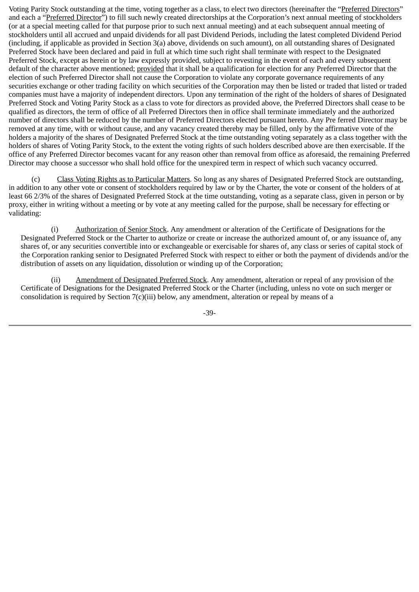Voting Parity Stock outstanding at the time, voting together as a class, to elect two directors (hereinafter the "Preferred Directors" and each a "Preferred Director") to fill such newly created directorships at the Corporation's next annual meeting of stockholders (or at a special meeting called for that purpose prior to such next annual meeting) and at each subsequent annual meeting of stockholders until all accrued and unpaid dividends for all past Dividend Periods, including the latest completed Dividend Period (including, if applicable as provided in Section 3(a) above, dividends on such amount), on all outstanding shares of Designated Preferred Stock have been declared and paid in full at which time such right shall terminate with respect to the Designated Preferred Stock, except as herein or by law expressly provided, subject to revesting in the event of each and every subsequent default of the character above mentioned; provided that it shall be a qualification for election for any Preferred Director that the election of such Preferred Director shall not cause the Corporation to violate any corporate governance requirements of any securities exchange or other trading facility on which securities of the Corporation may then be listed or traded that listed or traded companies must have a majority of independent directors. Upon any termination of the right of the holders of shares of Designated Preferred Stock and Voting Parity Stock as a class to vote for directors as provided above, the Preferred Directors shall cease to be qualified as directors, the term of office of all Preferred Directors then in office shall terminate immediately and the authorized number of directors shall be reduced by the number of Preferred Directors elected pursuant hereto. Any Pre ferred Director may be removed at any time, with or without cause, and any vacancy created thereby may be filled, only by the affirmative vote of the holders a majority of the shares of Designated Preferred Stock at the time outstanding voting separately as a class together with the holders of shares of Voting Parity Stock, to the extent the voting rights of such holders described above are then exercisable. If the office of any Preferred Director becomes vacant for any reason other than removal from office as aforesaid, the remaining Preferred Director may choose a successor who shall hold office for the unexpired term in respect of which such vacancy occurred.

 (c) Class Voting Rights as to Particular Matters. So long as any shares of Designated Preferred Stock are outstanding, in addition to any other vote or consent of stockholders required by law or by the Charter, the vote or consent of the holders of at least 66 2/3% of the shares of Designated Preferred Stock at the time outstanding, voting as a separate class, given in person or by proxy, either in writing without a meeting or by vote at any meeting called for the purpose, shall be necessary for effecting or validating:

 (i) Authorization of Senior Stock. Any amendment or alteration of the Certificate of Designations for the Designated Preferred Stock or the Charter to authorize or create or increase the authorized amount of, or any issuance of, any shares of, or any securities convertible into or exchangeable or exercisable for shares of, any class or series of capital stock of the Corporation ranking senior to Designated Preferred Stock with respect to either or both the payment of dividends and/or the distribution of assets on any liquidation, dissolution or winding up of the Corporation;

 (ii) Amendment of Designated Preferred Stock. Any amendment, alteration or repeal of any provision of the Certificate of Designations for the Designated Preferred Stock or the Charter (including, unless no vote on such merger or consolidation is required by Section 7(c)(iii) below, any amendment, alteration or repeal by means of a

-39-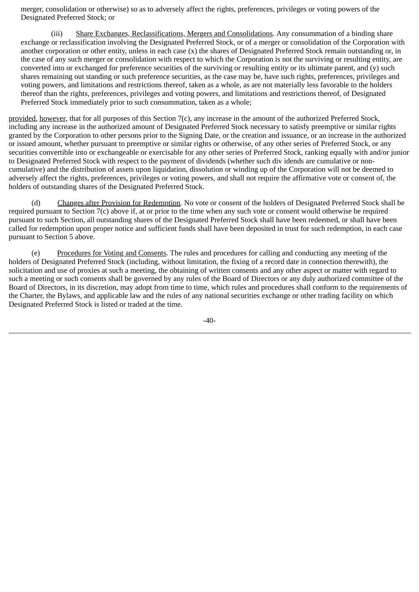merger, consolidation or otherwise) so as to adversely affect the rights, preferences, privileges or voting powers of the Designated Preferred Stock; or

 (iii) Share Exchanges, Reclassifications, Mergers and Consolidations. Any consummation of a binding share exchange or reclassification involving the Designated Preferred Stock, or of a merger or consolidation of the Corporation with another corporation or other entity, unless in each case (x) the shares of Designated Preferred Stock remain outstanding or, in the case of any such merger or consolidation with respect to which the Corporation is not the surviving or resulting entity, are converted into or exchanged for preference securities of the surviving or resulting entity or its ultimate parent, and  $(v)$  such shares remaining out standing or such preference securities, as the case may be, have such rights, preferences, privileges and voting powers, and limitations and restrictions thereof, taken as a whole, as are not materially less favorable to the holders thereof than the rights, preferences, privileges and voting powers, and limitations and restrictions thereof, of Designated Preferred Stock immediately prior to such consummation, taken as a whole;

provided, however, that for all purposes of this Section 7(c), any increase in the amount of the authorized Preferred Stock, including any increase in the authorized amount of Designated Preferred Stock necessary to satisfy preemptive or similar rights granted by the Corporation to other persons prior to the Signing Date, or the creation and issuance, or an increase in the authorized or issued amount, whether pursuant to preemptive or similar rights or otherwise, of any other series of Preferred Stock, or any securities convertible into or exchangeable or exercisable for any other series of Preferred Stock, ranking equally with and/or junior to Designated Preferred Stock with respect to the payment of dividends (whether such div idends are cumulative or noncumulative) and the distribution of assets upon liquidation, dissolution or winding up of the Corporation will not be deemed to adversely affect the rights, preferences, privileges or voting powers, and shall not require the affirmative vote or consent of, the holders of outstanding shares of the Designated Preferred Stock.

Changes after Provision for Redemption. No vote or consent of the holders of Designated Preferred Stock shall be required pursuant to Section 7(c) above if, at or prior to the time when any such vote or consent would otherwise be required pursuant to such Section, all outstanding shares of the Designated Preferred Stock shall have been redeemed, or shall have been called for redemption upon proper notice and sufficient funds shall have been deposited in trust for such redemption, in each case pursuant to Section 5 above.

 (e) Procedures for Voting and Consents. The rules and procedures for calling and conducting any meeting of the holders of Designated Preferred Stock (including, without limitation, the fixing of a record date in connection therewith), the solicitation and use of proxies at such a meeting, the obtaining of written consents and any other aspect or matter with regard to such a meeting or such consents shall be governed by any rules of the Board of Directors or any duly authorized committee of the Board of Directors, in its discretion, may adopt from time to time, which rules and procedures shall conform to the requirements of the Charter, the Bylaws, and applicable law and the rules of any national securities exchange or other trading facility on which Designated Preferred Stock is listed or traded at the time.

 $-40-$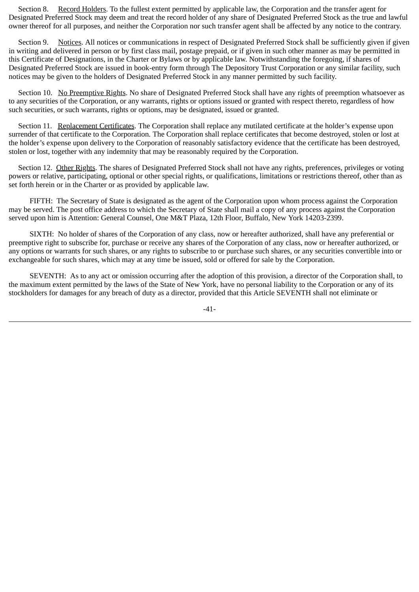Section 8. Record Holders. To the fullest extent permitted by applicable law, the Corporation and the transfer agent for Designated Preferred Stock may deem and treat the record holder of any share of Designated Preferred Stock as the true and lawful owner thereof for all purposes, and neither the Corporation nor such transfer agent shall be affected by any notice to the contrary.

Section 9. Notices. All notices or communications in respect of Designated Preferred Stock shall be sufficiently given if given in writing and delivered in person or by first class mail, postage prepaid, or if given in such other manner as may be permitted in this Certificate of Designations, in the Charter or Bylaws or by applicable law. Notwithstanding the foregoing, if shares of Designated Preferred Stock are issued in book-entry form through The Depository Trust Corporation or any similar facility, such notices may be given to the holders of Designated Preferred Stock in any manner permitted by such facility.

 Section 10. No Preemptive Rights. No share of Designated Preferred Stock shall have any rights of preemption whatsoever as to any securities of the Corporation, or any warrants, rights or options issued or granted with respect thereto, regardless of how such securities, or such warrants, rights or options, may be designated, issued or granted.

 Section 11. Replacement Certificates. The Corporation shall replace any mutilated certificate at the holder's expense upon surrender of that certificate to the Corporation. The Corporation shall replace certificates that become destroyed, stolen or lost at the holder's expense upon delivery to the Corporation of reasonably satisfactory evidence that the certificate has been destroyed, stolen or lost, together with any indemnity that may be reasonably required by the Corporation.

 Section 12. Other Rights. The shares of Designated Preferred Stock shall not have any rights, preferences, privileges or voting powers or relative, participating, optional or other special rights, or qualifications, limitations or restrictions thereof, other than as set forth herein or in the Charter or as provided by applicable law.

 FIFTH: The Secretary of State is designated as the agent of the Corporation upon whom process against the Corporation may be served. The post office address to which the Secretary of State shall mail a copy of any process against the Corporation served upon him is Attention: General Counsel, One M&T Plaza, 12th Floor, Buffalo, New York 14203-2399.

 SIXTH: No holder of shares of the Corporation of any class, now or hereafter authorized, shall have any preferential or preemptive right to subscribe for, purchase or receive any shares of the Corporation of any class, now or hereafter authorized, or any options or warrants for such shares, or any rights to subscribe to or purchase such shares, or any securities convertible into or exchangeable for such shares, which may at any time be issued, sold or offered for sale by the Corporation.

 SEVENTH: As to any act or omission occurring after the adoption of this provision, a director of the Corporation shall, to the maximum extent permitted by the laws of the State of New York, have no personal liability to the Corporation or any of its stockholders for damages for any breach of duty as a director, provided that this Article SEVENTH shall not eliminate or

-41-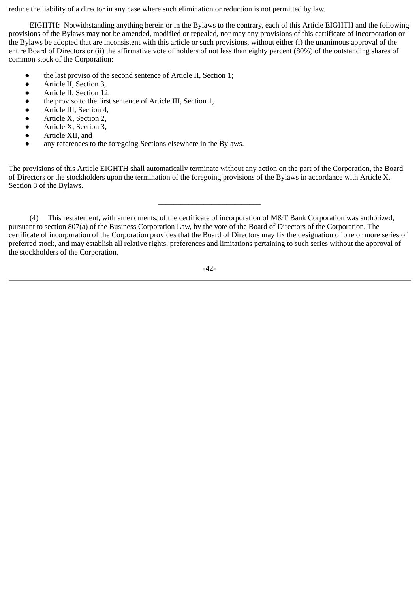reduce the liability of a director in any case where such elimination or reduction is not permitted by law.

 EIGHTH: Notwithstanding anything herein or in the Bylaws to the contrary, each of this Article EIGHTH and the following provisions of the Bylaws may not be amended, modified or repealed, nor may any provisions of this certificate of incorporation or the Bylaws be adopted that are inconsistent with this article or such provisions, without either (i) the unanimous approval of the entire Board of Directors or (ii) the affirmative vote of holders of not less than eighty percent (80%) of the outstanding shares of common stock of the Corporation:

- the last proviso of the second sentence of Article II, Section 1;
- Article II, Section 3,
- Article II, Section 12,
- the proviso to the first sentence of Article III, Section 1,
- Article III, Section 4,
- Article X, Section 2,
- Article X, Section 3,
- Article XII, and
- any references to the foregoing Sections elsewhere in the Bylaws.

The provisions of this Article EIGHTH shall automatically terminate without any action on the part of the Corporation, the Board of Directors or the stockholders upon the termination of the foregoing provisions of the Bylaws in accordance with Article X, Section 3 of the Bylaws.

**\_\_\_\_\_\_\_\_\_\_\_\_\_\_\_\_\_\_\_\_\_\_\_\_\_\_\_**

 (4) This restatement, with amendments, of the certificate of incorporation of M&T Bank Corporation was authorized, pursuant to section 807(a) of the Business Corporation Law, by the vote of the Board of Directors of the Corporation. The certificate of incorporation of the Corporation provides that the Board of Directors may fix the designation of one or more series of preferred stock, and may establish all relative rights, preferences and limitations pertaining to such series without the approval of the stockholders of the Corporation.

-42-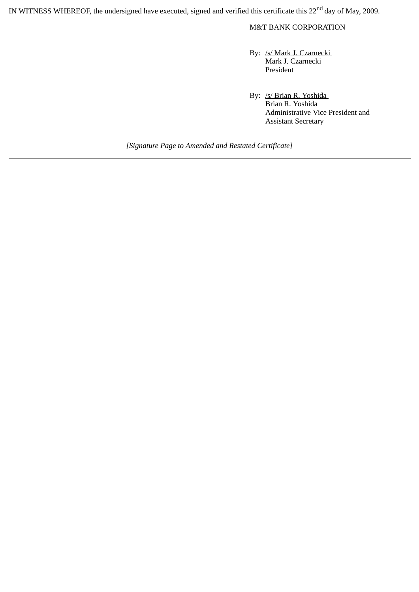IN WITNESS WHEREOF, the undersigned have executed, signed and verified this certificate this 22<sup>nd</sup> day of May, 2009.

M&T BANK CORPORATION

By: /s/ Mark J. Czarnecki Mark J. Czarnecki President

By: /s/ Brian R. Yoshida Brian R. Yoshida Administrative Vice President and Assistant Secretary

*[Signature Page to Amended and Restated Certificate]*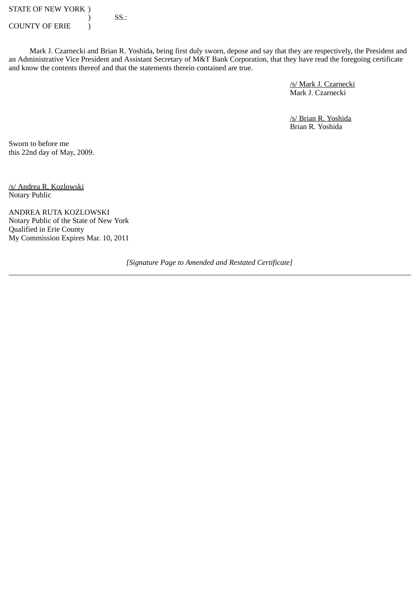STATE OF NEW YORK )  $\overline{\text{S}}$  SS.: COUNTY OF ERIE  $\qquad$  )

 Mark J. Czarnecki and Brian R. Yoshida, being first duly sworn, depose and say that they are respectively, the President and an Administrative Vice President and Assistant Secretary of M&T Bank Corporation, that they have read the foregoing certificate and know the contents thereof and that the statements therein contained are true.

> /s/ Mark J. Czarnecki Mark J. Czarnecki

/s/ Brian R. Yoshida Brian R. Yoshida

Sworn to before me this 22nd day of May, 2009.

/s/ Andrea R. Kozlowski Notary Public

ANDREA RUTA KOZLOWSKI Notary Public of the State of New York Qualified in Erie County My Commission Expires Mar. 10, 2011

*[Signature Page to Amended and Restated Certificate]*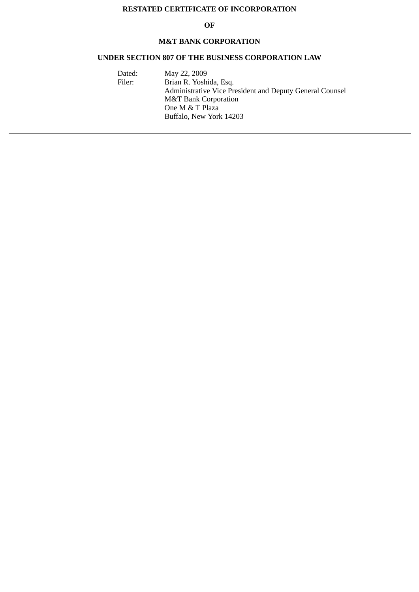# **RESTATED CERTIFICATE OF INCORPORATION**

#### **OF**

# **M&T BANK CORPORATION**

# **UNDER SECTION 807 OF THE BUSINESS CORPORATION LAW**

| Dated: | May 22, 2009                                             |
|--------|----------------------------------------------------------|
| Filer: | Brian R. Yoshida, Esq.                                   |
|        | Administrative Vice President and Deputy General Counsel |
|        | <b>M&amp;T Bank Corporation</b>                          |
|        | One M & T Plaza                                          |
|        | Buffalo, New York 14203                                  |
|        |                                                          |